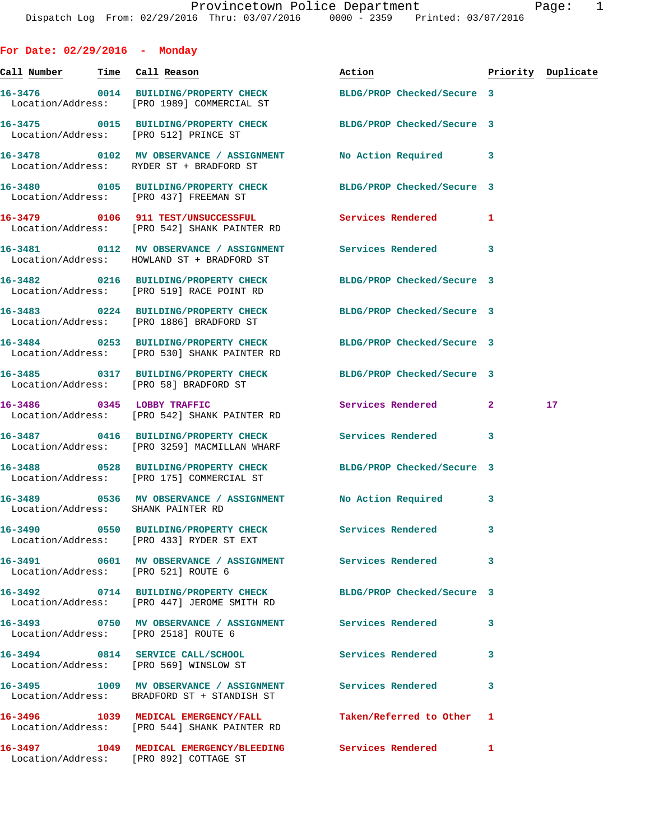**For Date: 02/29/2016 - Monday**

| Call Number Time Call Reason |                                                                                                                | Action                     |              | Priority Duplicate |
|------------------------------|----------------------------------------------------------------------------------------------------------------|----------------------------|--------------|--------------------|
|                              | 16-3476 0014 BUILDING/PROPERTY CHECK<br>Location/Address: [PRO 1989] COMMERCIAL ST                             | BLDG/PROP Checked/Secure 3 |              |                    |
|                              | 16-3475 0015 BUILDING/PROPERTY CHECK BLDG/PROP Checked/Secure 3<br>Location/Address: [PRO 512] PRINCE ST       |                            |              |                    |
|                              | 16-3478 0102 MV OBSERVANCE / ASSIGNMENT<br>Location/Address: RYDER ST + BRADFORD ST                            | No Action Required 3       |              |                    |
|                              | 16-3480 0105 BUILDING/PROPERTY CHECK BLDG/PROP Checked/Secure 3<br>Location/Address: [PRO 437] FREEMAN ST      |                            |              |                    |
|                              | 16-3479 0106 911 TEST/UNSUCCESSFUL<br>Location/Address: [PRO 542] SHANK PAINTER RD                             | Services Rendered          | 1            |                    |
|                              | 16-3481 0112 MV OBSERVANCE / ASSIGNMENT Services Rendered<br>Location/Address: HOWLAND ST + BRADFORD ST        |                            | 3            |                    |
|                              | 16-3482 0216 BUILDING/PROPERTY CHECK<br>Location/Address: [PRO 519] RACE POINT RD                              | BLDG/PROP Checked/Secure 3 |              |                    |
|                              | 16-3483 0224 BUILDING/PROPERTY CHECK<br>Location/Address: [PRO 1886] BRADFORD ST                               | BLDG/PROP Checked/Secure 3 |              |                    |
|                              | 16-3484 0253 BUILDING/PROPERTY CHECK<br>Location/Address: [PRO 530] SHANK PAINTER RD                           | BLDG/PROP Checked/Secure 3 |              |                    |
|                              | 16-3485 0317 BUILDING/PROPERTY CHECK BLDG/PROP Checked/Secure 3<br>Location/Address: [PRO 58] BRADFORD ST      |                            |              |                    |
|                              | 16-3486 0345 LOBBY TRAFFIC<br>Location/Address: [PRO 542] SHANK PAINTER RD                                     | Services Rendered          | $\mathbf{2}$ | 17                 |
|                              | 16-3487 0416 BUILDING/PROPERTY CHECK<br>Location/Address: [PRO 3259] MACMILLAN WHARF                           | Services Rendered          | 3            |                    |
|                              | 16-3488 0528 BUILDING/PROPERTY CHECK BLDG/PROP Checked/Secure 3<br>Location/Address: [PRO 175] COMMERCIAL ST   |                            |              |                    |
|                              | 16-3489 0536 MV OBSERVANCE / ASSIGNMENT<br>Location/Address: SHANK PAINTER RD                                  | No Action Required         | 3            |                    |
|                              | 16-3490  0550 BUILDING/PROPERTY CHECK Services Rendered<br>Location/Address: [PRO 433] RYDER ST EXT            |                            | 3            |                    |
|                              | 16-3491 0601 MV OBSERVANCE / ASSIGNMENT Services Rendered<br>Location/Address: [PRO 521] ROUTE 6               |                            | 3            |                    |
|                              | 16-3492 0714 BUILDING/PROPERTY CHECK BLDG/PROP Checked/Secure 3<br>Location/Address: [PRO 447] JEROME SMITH RD |                            |              |                    |
|                              | 16-3493 0750 MV OBSERVANCE / ASSIGNMENT Services Rendered<br>Location/Address: [PRO 2518] ROUTE 6              |                            | 3            |                    |
|                              | 16-3494 0814 SERVICE CALL/SCHOOL Services Rendered<br>Location/Address: [PRO 569] WINSLOW ST                   |                            | 3            |                    |
|                              | 16-3495 1009 MV OBSERVANCE / ASSIGNMENT Services Rendered<br>Location/Address: BRADFORD ST + STANDISH ST       |                            | 3            |                    |
|                              | 16-3496 1039 MEDICAL EMERGENCY/FALL<br>Location/Address: [PRO 544] SHANK PAINTER RD                            | Taken/Referred to Other    | 1            |                    |
|                              | 16-3497 1049 MEDICAL EMERGENCY/BLEEDING Services Rendered<br>Location/Address: [PRO 892] COTTAGE ST            |                            | 1            |                    |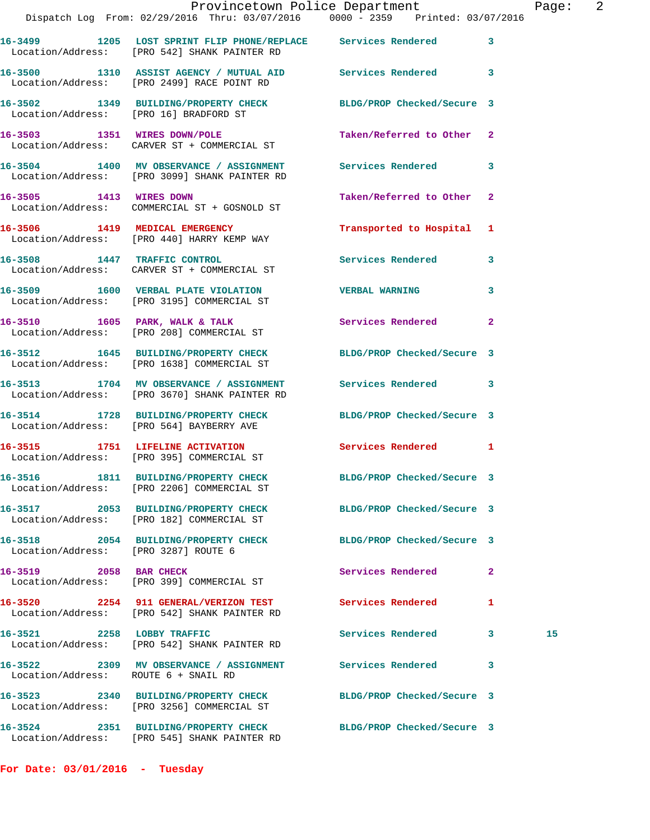|                                      | Provincetown Police Department<br>Dispatch Log From: 02/29/2016 Thru: 03/07/2016 0000 - 2359 Printed: 03/07/2016 |                            |              | Page: 2 |  |
|--------------------------------------|------------------------------------------------------------------------------------------------------------------|----------------------------|--------------|---------|--|
|                                      | 16-3499 1205 LOST SPRINT FLIP PHONE/REPLACE Services Rendered 3<br>Location/Address: [PRO 542] SHANK PAINTER RD  |                            |              |         |  |
|                                      | 16-3500 1310 ASSIST AGENCY / MUTUAL AID Services Rendered 3<br>Location/Address: [PRO 2499] RACE POINT RD        |                            |              |         |  |
|                                      | 16-3502 1349 BUILDING/PROPERTY CHECK BLDG/PROP Checked/Secure 3<br>Location/Address: [PRO 16] BRADFORD ST        |                            |              |         |  |
|                                      | 16-3503 1351 WIRES DOWN/POLE<br>Location/Address: CARVER ST + COMMERCIAL ST                                      | Taken/Referred to Other 2  |              |         |  |
|                                      | 16-3504 1400 MV OBSERVANCE / ASSIGNMENT Services Rendered 3<br>Location/Address: [PRO 3099] SHANK PAINTER RD     |                            |              |         |  |
|                                      | 16-3505 1413 WIRES DOWN<br>Location/Address: COMMERCIAL ST + GOSNOLD ST                                          | Taken/Referred to Other 2  |              |         |  |
|                                      | 16-3506 1419 MEDICAL EMERGENCY<br>Location/Address: [PRO 440] HARRY KEMP WAY                                     | Transported to Hospital 1  |              |         |  |
|                                      | 16-3508 1447 TRAFFIC CONTROL<br>Location/Address: CARVER ST + COMMERCIAL ST                                      | Services Rendered 3        |              |         |  |
|                                      | 16-3509 1600 VERBAL PLATE VIOLATION VERBAL WARNING<br>Location/Address: [PRO 3195] COMMERCIAL ST                 |                            | $\mathbf{3}$ |         |  |
|                                      | 16-3510 1605 PARK, WALK & TALK 1988 Services Rendered 2<br>Location/Address: [PRO 208] COMMERCIAL ST             |                            |              |         |  |
|                                      | 16-3512 1645 BUILDING/PROPERTY CHECK BLDG/PROP Checked/Secure 3<br>Location/Address: [PRO 1638] COMMERCIAL ST    |                            |              |         |  |
|                                      | 16-3513 1704 MV OBSERVANCE / ASSIGNMENT Services Rendered 3<br>Location/Address: [PRO 3670] SHANK PAINTER RD     |                            |              |         |  |
|                                      | 16-3514 1728 BUILDING/PROPERTY CHECK BLDG/PROP Checked/Secure 3<br>Location/Address: [PRO 564] BAYBERRY AVE      |                            |              |         |  |
|                                      | 16-3515 1751 LIFELINE ACTIVATION<br>Location/Address: [PRO 395] COMMERCIAL ST                                    | Services Rendered 1        |              |         |  |
|                                      | 16-3516 1811 BUILDING/PROPERTY CHECK<br>Location/Address: [PRO 2206] COMMERCIAL ST                               | BLDG/PROP Checked/Secure 3 |              |         |  |
|                                      | 16-3517 2053 BUILDING/PROPERTY CHECK<br>Location/Address: [PRO 182] COMMERCIAL ST                                | BLDG/PROP Checked/Secure 3 |              |         |  |
| Location/Address: [PRO 3287] ROUTE 6 | 16-3518 2054 BUILDING/PROPERTY CHECK                                                                             | BLDG/PROP Checked/Secure 3 |              |         |  |
| 16-3519 2058 BAR CHECK               | Location/Address: [PRO 399] COMMERCIAL ST                                                                        | Services Rendered 2        |              |         |  |
|                                      | 16-3520 2254 911 GENERAL/VERIZON TEST<br>Location/Address: [PRO 542] SHANK PAINTER RD                            | Services Rendered          | 1            |         |  |
| 16-3521 2258 LOBBY TRAFFIC           | Location/Address: [PRO 542] SHANK PAINTER RD                                                                     | Services Rendered 3        |              | 15      |  |
| Location/Address: ROUTE 6 + SNAIL RD | 16-3522 2309 MV OBSERVANCE / ASSIGNMENT Services Rendered                                                        |                            | 3            |         |  |
|                                      | 16-3523 2340 BUILDING/PROPERTY CHECK<br>Location/Address: [PRO 3256] COMMERCIAL ST                               | BLDG/PROP Checked/Secure 3 |              |         |  |
|                                      | 16-3524 2351 BUILDING/PROPERTY CHECK BLDG/PROP Checked/Secure 3                                                  |                            |              |         |  |

**For Date: 03/01/2016 - Tuesday**

Location/Address: [PRO 545] SHANK PAINTER RD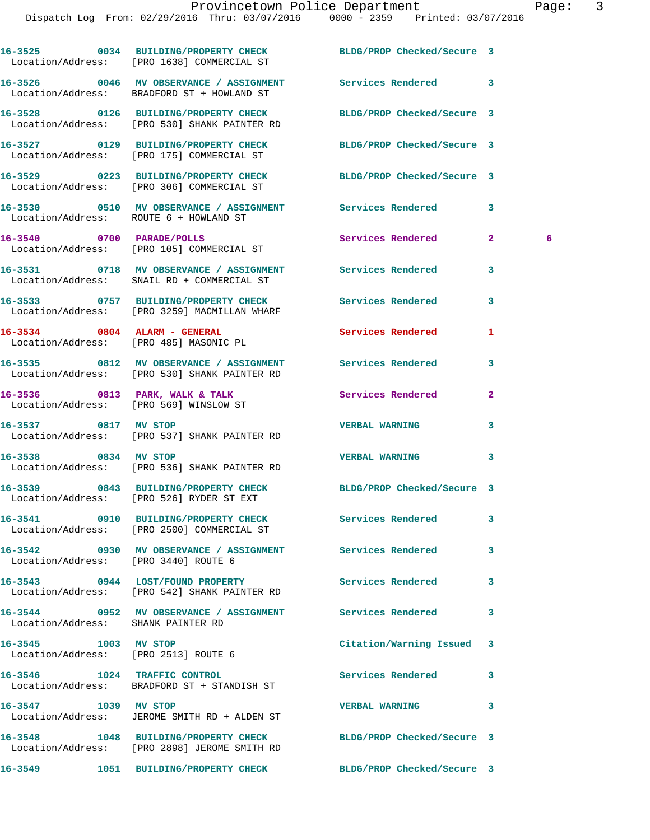|                                      | 16-3525 0034 BUILDING/PROPERTY CHECK BLDG/PROP Checked/Secure 3<br>Location/Address: [PRO 1638] COMMERCIAL ST   |                            |                   |
|--------------------------------------|-----------------------------------------------------------------------------------------------------------------|----------------------------|-------------------|
|                                      | 16-3526 0046 MV OBSERVANCE / ASSIGNMENT Services Rendered<br>Location/Address: BRADFORD ST + HOWLAND ST         |                            | 3                 |
|                                      | 16-3528 0126 BUILDING/PROPERTY CHECK BLDG/PROP Checked/Secure 3<br>Location/Address: [PRO 530] SHANK PAINTER RD |                            |                   |
|                                      | 16-3527 0129 BUILDING/PROPERTY CHECK BLDG/PROP Checked/Secure 3<br>Location/Address: [PRO 175] COMMERCIAL ST    |                            |                   |
|                                      | 16-3529 0223 BUILDING/PROPERTY CHECK BLDG/PROP Checked/Secure 3<br>Location/Address: [PRO 306] COMMERCIAL ST    |                            |                   |
|                                      | 16-3530 0510 MV OBSERVANCE / ASSIGNMENT Services Rendered<br>Location/Address: ROUTE 6 + HOWLAND ST             |                            | 3                 |
|                                      | 16-3540 0700 PARADE/POLLS<br>Location/Address: [PRO 105] COMMERCIAL ST                                          | Services Rendered          | $\mathbf{2}$<br>6 |
|                                      | 16-3531 0718 MV OBSERVANCE / ASSIGNMENT Services Rendered<br>Location/Address: SNAIL RD + COMMERCIAL ST         |                            | 3                 |
|                                      | 16-3533 0757 BUILDING/PROPERTY CHECK<br>Location/Address: [PRO 3259] MACMILLAN WHARF                            | Services Rendered          | 3                 |
|                                      | 16-3534 0804 ALARM - GENERAL<br>Location/Address: [PRO 485] MASONIC PL                                          | <b>Services Rendered</b>   | 1                 |
|                                      | 16-3535 0812 MV OBSERVANCE / ASSIGNMENT Services Rendered<br>Location/Address: [PRO 530] SHANK PAINTER RD       |                            | 3                 |
|                                      | 16-3536 0813 PARK, WALK & TALK 1999 Services Rendered<br>Location/Address: [PRO 569] WINSLOW ST                 |                            | $\overline{a}$    |
|                                      | 16-3537 0817 MV STOP<br>Location/Address: [PRO 537] SHANK PAINTER RD                                            | <b>VERBAL WARNING</b>      | 3                 |
| 16-3538 0834 MV STOP                 | Location/Address: [PRO 536] SHANK PAINTER RD                                                                    | <b>VERBAL WARNING</b>      | 3                 |
|                                      | 16-3539 0843 BUILDING/PROPERTY CHECK BLDG/PROP Checked/Secure 3<br>Location/Address: [PRO 526] RYDER ST EXT     |                            |                   |
|                                      | 16-3541 0910 BUILDING/PROPERTY CHECK<br>Location/Address: [PRO 2500] COMMERCIAL ST                              | <b>Services Rendered</b>   | 3                 |
| Location/Address: [PRO 3440] ROUTE 6 | 16-3542 0930 MV OBSERVANCE / ASSIGNMENT Services Rendered                                                       |                            | 3                 |
|                                      | 16-3543 0944 LOST/FOUND PROPERTY<br>Location/Address: [PRO 542] SHANK PAINTER RD                                | Services Rendered          | 3                 |
| Location/Address: SHANK PAINTER RD   | 16-3544 0952 MV OBSERVANCE / ASSIGNMENT Services Rendered                                                       |                            | 3                 |
| 16-3545 1003 MV STOP                 | Location/Address: [PRO 2513] ROUTE 6                                                                            | Citation/Warning Issued    | 3                 |
|                                      | 16-3546 1024 TRAFFIC CONTROL<br>Location/Address: BRADFORD ST + STANDISH ST                                     | Services Rendered          | 3                 |
| 16-3547 1039 MV STOP                 | Location/Address: JEROME SMITH RD + ALDEN ST                                                                    | <b>VERBAL WARNING</b>      | 3                 |
|                                      | 16-3548 1048 BUILDING/PROPERTY CHECK<br>Location/Address: [PRO 2898] JEROME SMITH RD                            | BLDG/PROP Checked/Secure 3 |                   |
| 16-3549                              | 1051 BUILDING/PROPERTY CHECK                                                                                    | BLDG/PROP Checked/Secure 3 |                   |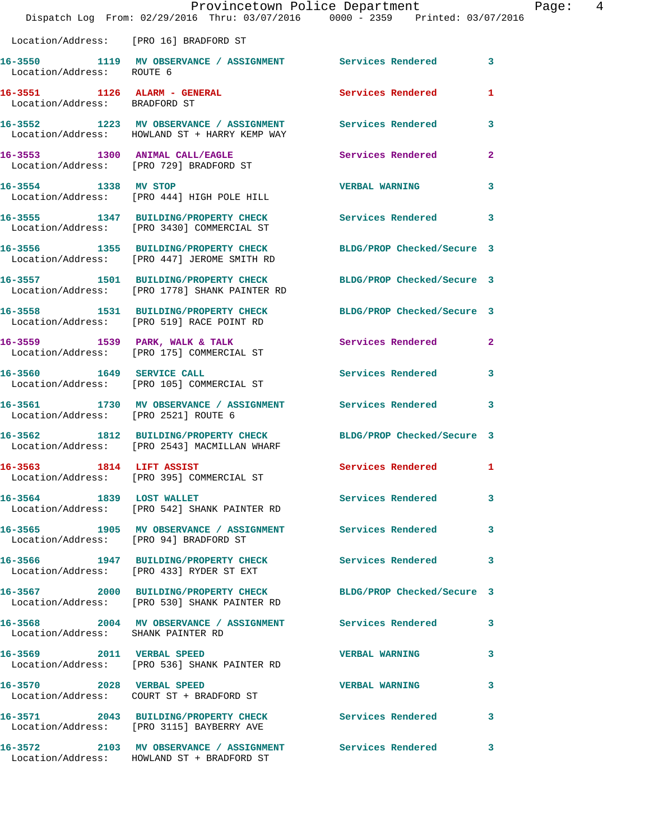|                                      | Dispatch Log From: 02/29/2016 Thru: 03/07/2016 0000 - 2359 Printed: 03/07/2016                                   | Provincetown Police Department | Page: 4 |  |
|--------------------------------------|------------------------------------------------------------------------------------------------------------------|--------------------------------|---------|--|
|                                      | Location/Address: [PRO 16] BRADFORD ST                                                                           |                                |         |  |
| Location/Address: ROUTE 6            | 16-3550 1119 MV OBSERVANCE / ASSIGNMENT Services Rendered 3                                                      |                                |         |  |
| Location/Address: BRADFORD ST        | 16-3551 1126 ALARM - GENERAL Services Rendered 1                                                                 |                                |         |  |
|                                      | 16-3552 1223 MV OBSERVANCE / ASSIGNMENT Services Rendered 3<br>Location/Address: HOWLAND ST + HARRY KEMP WAY     |                                |         |  |
|                                      | 16-3553 1300 ANIMAL CALL/EAGLE 1 Services Rendered 2<br>Location/Address: [PRO 729] BRADFORD ST                  |                                |         |  |
|                                      | 16-3554 1338 MV STOP<br>Location/Address: [PRO 444] HIGH POLE HILL                                               | <b>VERBAL WARNING</b>          | 3       |  |
|                                      | 16-3555 1347 BUILDING/PROPERTY CHECK Services Rendered 3<br>Location/Address: [PRO 3430] COMMERCIAL ST           |                                |         |  |
|                                      | 16-3556 1355 BUILDING/PROPERTY CHECK BLDG/PROP Checked/Secure 3<br>Location/Address: [PRO 447] JEROME SMITH RD   |                                |         |  |
|                                      | 16-3557 1501 BUILDING/PROPERTY CHECK BLDG/PROP Checked/Secure 3<br>Location/Address: [PRO 1778] SHANK PAINTER RD |                                |         |  |
|                                      | 16-3558 1531 BUILDING/PROPERTY CHECK BLDG/PROP Checked/Secure 3<br>Location/Address: [PRO 519] RACE POINT RD     |                                |         |  |
|                                      | 16-3559 1539 PARK, WALK & TALK<br>Location/Address: [PRO 175] COMMERCIAL ST                                      | Services Rendered 2            |         |  |
|                                      | 16-3560 1649 SERVICE CALL<br>Location/Address: [PRO 105] COMMERCIAL ST                                           | Services Rendered 3            |         |  |
| Location/Address: [PRO 2521] ROUTE 6 | 16-3561 1730 MV OBSERVANCE / ASSIGNMENT Services Rendered 3                                                      |                                |         |  |
|                                      | 16-3562 1812 BUILDING/PROPERTY CHECK BLDG/PROP Checked/Secure 3<br>Location/Address: [PRO 2543] MACMILLAN WHARF  |                                |         |  |
| 1814<br>16-3563                      | LIFT ASSIST<br>Location/Address: [PRO 395] COMMERCIAL ST                                                         | Services Rendered              | 1       |  |
|                                      | 16-3564 1839 LOST WALLET<br>Location/Address: [PRO 542] SHANK PAINTER RD                                         | Services Rendered 3            |         |  |
|                                      | 16-3565 1905 MV OBSERVANCE / ASSIGNMENT Services Rendered 3<br>Location/Address: [PRO 94] BRADFORD ST            |                                |         |  |
|                                      | 16-3566 1947 BUILDING/PROPERTY CHECK Services Rendered 3<br>Location/Address: [PRO 433] RYDER ST EXT             |                                |         |  |
|                                      | 16-3567 2000 BUILDING/PROPERTY CHECK BLDG/PROP Checked/Secure 3<br>Location/Address: [PRO 530] SHANK PAINTER RD  |                                |         |  |
| Location/Address: SHANK PAINTER RD   | 16-3568 2004 MV OBSERVANCE / ASSIGNMENT Services Rendered 3                                                      |                                |         |  |
|                                      | 16-3569 2011 VERBAL SPEED<br>Location/Address: [PRO 536] SHANK PAINTER RD                                        | <b>VERBAL WARNING</b>          | 3       |  |
|                                      | 16-3570 2028 VERBAL SPEED<br>Location/Address: COURT ST + BRADFORD ST                                            | VERBAL WARNING 3               |         |  |
|                                      | 16-3571 2043 BUILDING/PROPERTY CHECK Services Rendered<br>Location/Address: [PRO 3115] BAYBERRY AVE              |                                | 3       |  |
|                                      | 16-3572 2103 MV OBSERVANCE / ASSIGNMENT Services Rendered 3<br>Location/Address: HOWLAND ST + BRADFORD ST        |                                |         |  |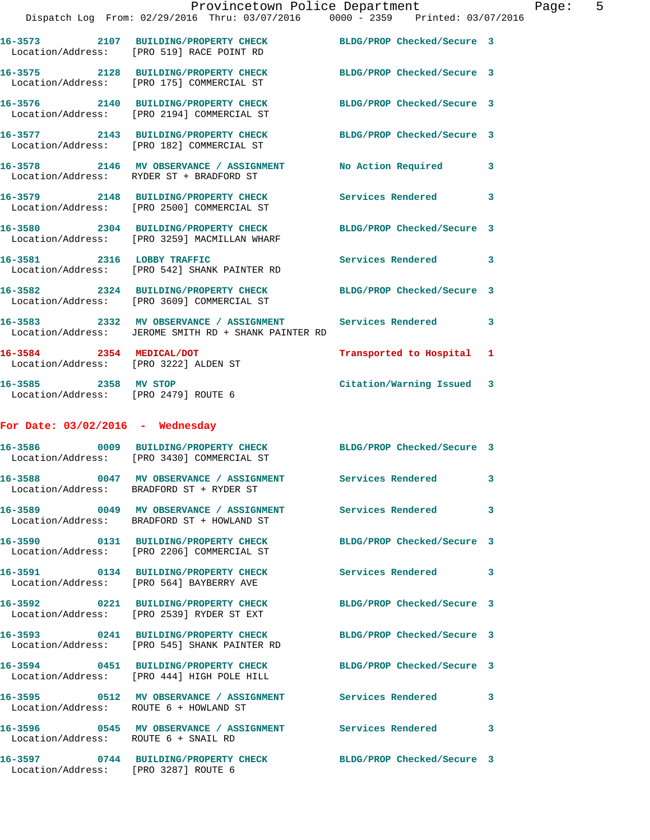|                                                                   | Provincetown Police Department<br>Dispatch Log From: 02/29/2016 Thru: 03/07/2016 0000 - 2359 Printed: 03/07/2016  |                            |   |
|-------------------------------------------------------------------|-------------------------------------------------------------------------------------------------------------------|----------------------------|---|
|                                                                   | 16-3573 2107 BUILDING/PROPERTY CHECK<br>Location/Address: [PRO 519] RACE POINT RD                                 | BLDG/PROP Checked/Secure 3 |   |
|                                                                   | 16-3575 2128 BUILDING/PROPERTY CHECK BLDG/PROP Checked/Secure 3<br>Location/Address: [PRO 175] COMMERCIAL ST      |                            |   |
|                                                                   | 16-3576 2140 BUILDING/PROPERTY CHECK BLDG/PROP Checked/Secure 3<br>Location/Address: [PRO 2194] COMMERCIAL ST     |                            |   |
|                                                                   | 16-3577 2143 BUILDING/PROPERTY CHECK BLDG/PROP Checked/Secure 3<br>Location/Address: [PRO 182] COMMERCIAL ST      |                            |   |
|                                                                   | 16-3578 2146 MV OBSERVANCE / ASSIGNMENT<br>Location/Address: RYDER ST + BRADFORD ST                               | No Action Required         | 3 |
|                                                                   | 16-3579 2148 BUILDING/PROPERTY CHECK<br>Location/Address: [PRO 2500] COMMERCIAL ST                                | <b>Services Rendered</b>   | 3 |
|                                                                   | 16-3580 2304 BUILDING/PROPERTY CHECK<br>Location/Address: [PRO 3259] MACMILLAN WHARF                              | BLDG/PROP Checked/Secure 3 |   |
|                                                                   | 16-3581 2316 LOBBY TRAFFIC<br>Location/Address: [PRO 542] SHANK PAINTER RD                                        | <b>Services Rendered</b>   | 3 |
|                                                                   | 16-3582 2324 BUILDING/PROPERTY CHECK BLDG/PROP Checked/Secure 3<br>Location/Address: [PRO 3609] COMMERCIAL ST     |                            |   |
|                                                                   | 16-3583 2332 MV OBSERVANCE / ASSIGNMENT Services Rendered<br>Location/Address: JEROME SMITH RD + SHANK PAINTER RD |                            | 3 |
| 16-3584 2354 MEDICAL/DOT<br>Location/Address: [PRO 3222] ALDEN ST |                                                                                                                   | Transported to Hospital    | 1 |
| 16-3585 2358 MV STOP<br>Location/Address: [PRO 2479] ROUTE 6      |                                                                                                                   | Citation/Warning Issued    | 3 |
| For Date: $03/02/2016$ - Wednesday                                |                                                                                                                   |                            |   |
|                                                                   | 16-3586 0009 BUILDING/PROPERTY CHECK BLDG/PROP Checked/Secure 3<br>Location/Address: [PRO 3430] COMMERCIAL ST     |                            |   |
|                                                                   | 16-3588 0047 MV OBSERVANCE / ASSIGNMENT Services Rendered<br>Location/Address: BRADFORD ST + RYDER ST             |                            | 3 |
|                                                                   | 16-3589 0049 MV OBSERVANCE / ASSIGNMENT<br>Location/Address: BRADFORD ST + HOWLAND ST                             | <b>Services Rendered</b>   | 3 |
|                                                                   | 16-3590 0131 BUILDING/PROPERTY CHECK<br>Location/Address: [PRO 2206] COMMERCIAL ST                                | BLDG/PROP Checked/Secure 3 |   |
|                                                                   | 16-3591 0134 BUILDING/PROPERTY CHECK<br>Location/Address: [PRO 564] BAYBERRY AVE                                  | <b>Services Rendered</b>   | 3 |

**16-3592 0221 BUILDING/PROPERTY CHECK BLDG/PROP Checked/Secure 3**  Location/Address: [PRO 2539] RYDER ST EXT **16-3593 0241 BUILDING/PROPERTY CHECK BLDG/PROP Checked/Secure 3** 

 Location/Address: [PRO 545] SHANK PAINTER RD **16-3594 0451 BUILDING/PROPERTY CHECK BLDG/PROP Checked/Secure 3**  Location/Address: [PRO 444] HIGH POLE HILL **16-3595 0512 MV OBSERVANCE / ASSIGNMENT Services Rendered 3**  Location/Address: ROUTE 6 + HOWLAND ST 16-3596 **0545 MV OBSERVANCE / ASSIGNMENT** Services Rendered 3 Location/Address: ROUTE 6 + SNAIL RD

**16-3597 0744 BUILDING/PROPERTY CHECK BLDG/PROP Checked/Secure 3**  Location/Address: [PRO 3287] ROUTE 6

Page: 5<br>016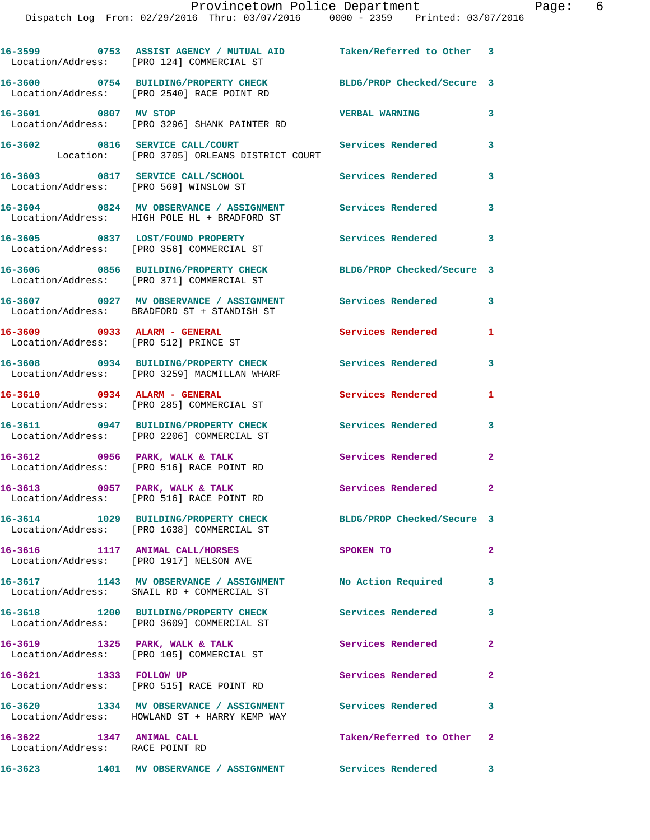|                                                             | 16-3599 0753 ASSIST AGENCY / MUTUAL AID Taken/Referred to Other 3<br>Location/Address: [PRO 124] COMMERCIAL ST |                            |                |
|-------------------------------------------------------------|----------------------------------------------------------------------------------------------------------------|----------------------------|----------------|
|                                                             | 16-3600 0754 BUILDING/PROPERTY CHECK<br>Location/Address: [PRO 2540] RACE POINT RD                             | BLDG/PROP Checked/Secure 3 |                |
| 16-3601 0807 MV STOP                                        | Location/Address: [PRO 3296] SHANK PAINTER RD                                                                  | <b>VERBAL WARNING</b>      | 3              |
|                                                             | 16-3602 0816 SERVICE CALL/COURT<br>Location: [PRO 3705] ORLEANS DISTRICT COURT                                 | <b>Services Rendered</b>   | 3              |
| Location/Address: [PRO 569] WINSLOW ST                      | 16-3603 0817 SERVICE CALL/SCHOOL                                                                               | Services Rendered          | 3              |
|                                                             | 16-3604 0824 MV OBSERVANCE / ASSIGNMENT Services Rendered<br>Location/Address: HIGH POLE HL + BRADFORD ST      |                            | 3              |
|                                                             | 16-3605 0837 LOST/FOUND PROPERTY<br>Location/Address: [PRO 356] COMMERCIAL ST                                  | <b>Services Rendered</b>   | 3              |
|                                                             | 16-3606 0856 BUILDING/PROPERTY CHECK<br>Location/Address: [PRO 371] COMMERCIAL ST                              | BLDG/PROP Checked/Secure 3 |                |
|                                                             | 16-3607 0927 MV OBSERVANCE / ASSIGNMENT<br>Location/Address: BRADFORD ST + STANDISH ST                         | Services Rendered          | 3              |
| 16-3609 0933 ALARM - GENERAL                                | Location/Address: [PRO 512] PRINCE ST                                                                          | Services Rendered          | $\mathbf{1}$   |
|                                                             | 16-3608 0934 BUILDING/PROPERTY CHECK<br>Location/Address: [PRO 3259] MACMILLAN WHARF                           | <b>Services Rendered</b>   | 3              |
| 16-3610 0934 ALARM - GENERAL                                | Location/Address: [PRO 285] COMMERCIAL ST                                                                      | Services Rendered          | 1              |
|                                                             | 16-3611 0947 BUILDING/PROPERTY CHECK<br>Location/Address: [PRO 2206] COMMERCIAL ST                             | <b>Services Rendered</b>   | 3              |
|                                                             | $16-3612$ 0956 PARK, WALK & TALK<br>Location/Address: [PRO 516] RACE POINT RD                                  | Services Rendered          | $\mathbf{2}$   |
|                                                             | 16-3613 0957 PARK, WALK & TALK<br>Location/Address: [PRO 516] RACE POINT RD                                    | Services Rendered 2        |                |
|                                                             | 16-3614 1029 BUILDING/PROPERTY CHECK<br>Location/Address: [PRO 1638] COMMERCIAL ST                             | BLDG/PROP Checked/Secure 3 |                |
|                                                             | 16-3616 1117 ANIMAL CALL/HORSES<br>Location/Address: [PRO 1917] NELSON AVE                                     | SPOKEN TO                  | $\mathbf{2}$   |
|                                                             | 16-3617 1143 MV OBSERVANCE / ASSIGNMENT No Action Required<br>Location/Address: SNAIL RD + COMMERCIAL ST       |                            | 3              |
|                                                             | 16-3618 1200 BUILDING/PROPERTY CHECK<br>Location/Address: [PRO 3609] COMMERCIAL ST                             | Services Rendered          | 3              |
| $16-3619$ 1325 PARK, WALK & TALK                            | Location/Address: [PRO 105] COMMERCIAL ST                                                                      | Services Rendered          | $\overline{2}$ |
| 16-3621 1333 FOLLOW UP                                      | Location/Address: [PRO 515] RACE POINT RD                                                                      | Services Rendered          | $\mathbf{2}$   |
|                                                             | 16-3620 1334 MV OBSERVANCE / ASSIGNMENT Services Rendered<br>Location/Address: HOWLAND ST + HARRY KEMP WAY     |                            | 3              |
| 16-3622 1347 ANIMAL CALL<br>Location/Address: RACE POINT RD |                                                                                                                | Taken/Referred to Other 2  |                |
|                                                             | 16-3623 1401 MV OBSERVANCE / ASSIGNMENT                                                                        | Services Rendered 3        |                |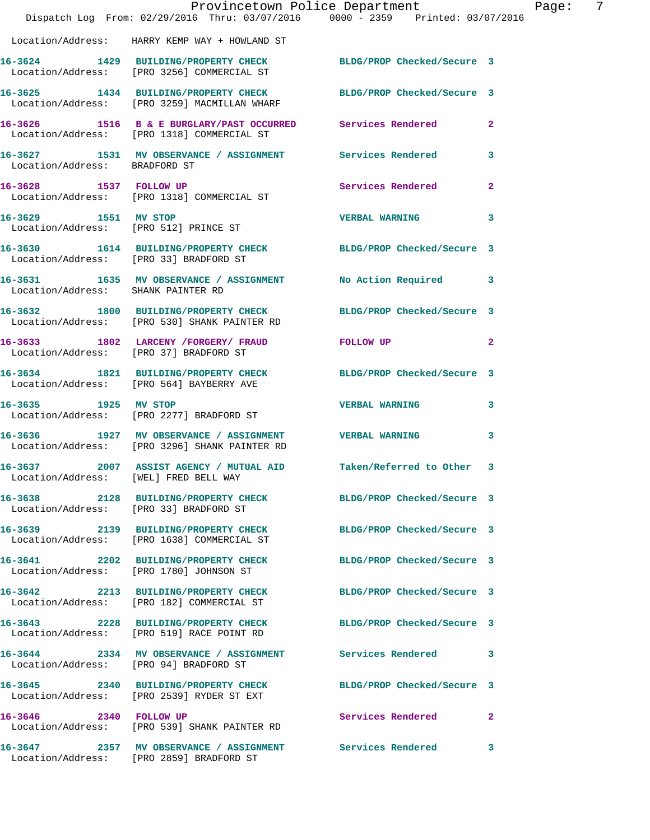|                                                  | Dispatch Log From: 02/29/2016 Thru: 03/07/2016 0000 - 2359 Printed: 03/07/2016                                  | Provincetown Police Department | Page: 7        |  |
|--------------------------------------------------|-----------------------------------------------------------------------------------------------------------------|--------------------------------|----------------|--|
|                                                  | Location/Address: HARRY KEMP WAY + HOWLAND ST                                                                   |                                |                |  |
|                                                  | 16-3624 1429 BUILDING/PROPERTY CHECK BLDG/PROP Checked/Secure 3<br>Location/Address: [PRO 3256] COMMERCIAL ST   |                                |                |  |
|                                                  | 16-3625 1434 BUILDING/PROPERTY CHECK BLDG/PROP Checked/Secure 3<br>Location/Address: [PRO 3259] MACMILLAN WHARF |                                |                |  |
|                                                  | 16-3626 1516 B & E BURGLARY/PAST OCCURRED Services Rendered<br>Location/Address: [PRO 1318] COMMERCIAL ST       |                                | $\overline{a}$ |  |
| Location/Address: BRADFORD ST                    | 16-3627 1531 MV OBSERVANCE / ASSIGNMENT Services Rendered                                                       |                                | 3              |  |
|                                                  | 16-3628 1537 FOLLOW UP<br>Location/Address: [PRO 1318] COMMERCIAL ST                                            | Services Rendered              | $\overline{2}$ |  |
|                                                  |                                                                                                                 | <b>VERBAL WARNING</b>          | 3              |  |
| Location/Address: [PRO 33] BRADFORD ST           | 16-3630 1614 BUILDING/PROPERTY CHECK BLDG/PROP Checked/Secure 3                                                 |                                |                |  |
| Location/Address: SHANK PAINTER RD               | 16-3631 1635 MV OBSERVANCE / ASSIGNMENT No Action Required 3                                                    |                                |                |  |
|                                                  | 16-3632 1800 BUILDING/PROPERTY CHECK<br>Location/Address: [PRO 530] SHANK PAINTER RD                            | BLDG/PROP Checked/Secure 3     |                |  |
|                                                  | 16-3633 1802 LARCENY /FORGERY / FRAUD FOLLOW UP<br>Location/Address: [PRO 37] BRADFORD ST                       |                                | $\mathbf{2}$   |  |
|                                                  | 16-3634 1821 BUILDING/PROPERTY CHECK BLDG/PROP Checked/Secure 3<br>Location/Address: [PRO 564] BAYBERRY AVE     |                                |                |  |
| 16-3635 1925 MV STOP                             | Location/Address: [PRO 2277] BRADFORD ST                                                                        | <b>VERBAL WARNING</b>          | 3              |  |
|                                                  | 16-3636 1927 MV OBSERVANCE / ASSIGNMENT VERBAL WARNING<br>Location/Address: [PRO 3296] SHANK PAINTER RD         |                                | 3              |  |
| 16-3637<br>Location/Address: [WEL] FRED BELL WAY | 2007 ASSIST AGENCY / MUTUAL AID Taken/Referred to Other 3                                                       |                                |                |  |
| Location/Address: [PRO 33] BRADFORD ST           | 16-3638 2128 BUILDING/PROPERTY CHECK BLDG/PROP Checked/Secure 3                                                 |                                |                |  |
|                                                  |                                                                                                                 | BLDG/PROP Checked/Secure 3     |                |  |
|                                                  | 16-3641 2202 BUILDING/PROPERTY CHECK BLDG/PROP Checked/Secure 3<br>Location/Address: [PRO 1780] JOHNSON ST      |                                |                |  |
|                                                  | 16-3642 2213 BUILDING/PROPERTY CHECK<br>Location/Address: [PRO 182] COMMERCIAL ST                               | BLDG/PROP Checked/Secure 3     |                |  |
|                                                  | 16-3643 2228 BUILDING/PROPERTY CHECK BLDG/PROP Checked/Secure 3<br>Location/Address: [PRO 519] RACE POINT RD    |                                |                |  |
| Location/Address: [PRO 94] BRADFORD ST           | 16-3644 2334 MV OBSERVANCE / ASSIGNMENT Services Rendered                                                       |                                | 3              |  |
|                                                  | 16-3645 2340 BUILDING/PROPERTY CHECK<br>Location/Address: [PRO 2539] RYDER ST EXT                               | BLDG/PROP Checked/Secure 3     |                |  |
| 16-3646 2340 FOLLOW UP                           | Location/Address: [PRO 539] SHANK PAINTER RD                                                                    | Services Rendered              | $\overline{2}$ |  |
|                                                  | 16-3647 2357 MV OBSERVANCE / ASSIGNMENT Services Rendered<br>Location/Address: [PRO 2859] BRADFORD ST           |                                | 3              |  |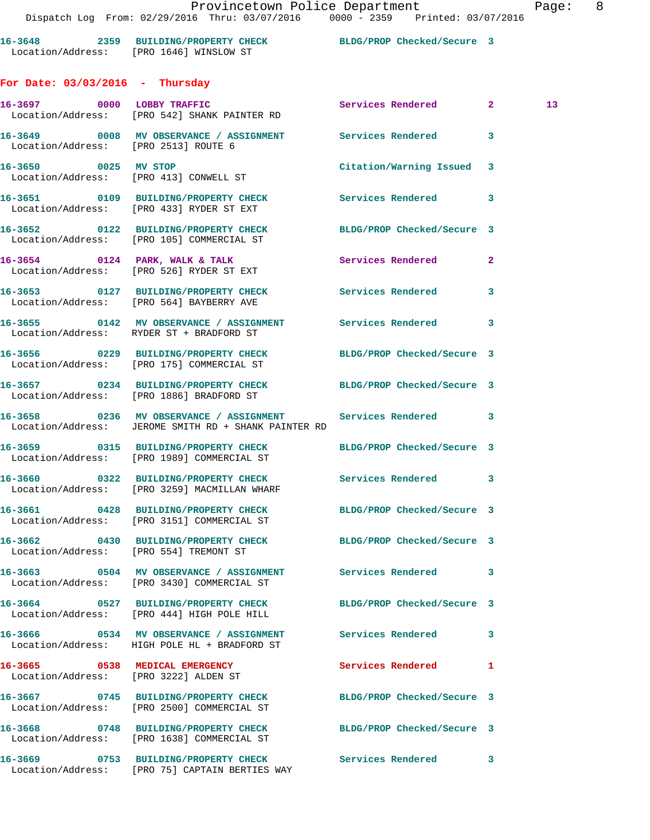| 16-3648           | 2359 BUILDING/PROPERTY CHECK |  | BLDG/PROP Checked/Secure 3 |  |
|-------------------|------------------------------|--|----------------------------|--|
| Location/Address: | [PRO 1646] WINSLOW ST        |  |                            |  |

**For Date: 03/03/2016 - Thursday**

Location/Address: [PRO 75] CAPTAIN BERTIES WAY

|                                                                         | 16-3697 0000 LOBBY TRAFFIC<br>Location/Address: [PRO 542] SHANK PAINTER RD                                          | Services Rendered 2        |              | 13 |
|-------------------------------------------------------------------------|---------------------------------------------------------------------------------------------------------------------|----------------------------|--------------|----|
| Location/Address: [PRO 2513] ROUTE 6                                    | 16-3649 0008 MV OBSERVANCE / ASSIGNMENT Services Rendered                                                           |                            | 3            |    |
| 16-3650 0025 MV STOP<br>Location/Address: [PRO 413] CONWELL ST          |                                                                                                                     | Citation/Warning Issued    | 3            |    |
|                                                                         | 16-3651 0109 BUILDING/PROPERTY CHECK<br>Location/Address: [PRO 433] RYDER ST EXT                                    | Services Rendered 3        |              |    |
|                                                                         | 16-3652 0122 BUILDING/PROPERTY CHECK<br>Location/Address: [PRO 105] COMMERCIAL ST                                   | BLDG/PROP Checked/Secure 3 |              |    |
|                                                                         | 16-3654 0124 PARK, WALK & TALK<br>Location/Address: [PRO 526] RYDER ST EXT                                          | Services Rendered          | $\mathbf{2}$ |    |
|                                                                         | 16-3653 0127 BUILDING/PROPERTY CHECK Services Rendered<br>Location/Address: [PRO 564] BAYBERRY AVE                  |                            | 3            |    |
|                                                                         | 16-3655 0142 MV OBSERVANCE / ASSIGNMENT Services Rendered 3<br>Location/Address: RYDER ST + BRADFORD ST             |                            |              |    |
|                                                                         | 16-3656 0229 BUILDING/PROPERTY CHECK<br>Location/Address: [PRO 175] COMMERCIAL ST                                   | BLDG/PROP Checked/Secure 3 |              |    |
|                                                                         | 16-3657 0234 BUILDING/PROPERTY CHECK<br>Location/Address: [PRO 1886] BRADFORD ST                                    | BLDG/PROP Checked/Secure 3 |              |    |
|                                                                         | 16-3658 0236 MV OBSERVANCE / ASSIGNMENT Services Rendered 3<br>Location/Address: JEROME SMITH RD + SHANK PAINTER RD |                            |              |    |
|                                                                         | 16-3659 0315 BUILDING/PROPERTY CHECK BLDG/PROP Checked/Secure 3<br>Location/Address: [PRO 1989] COMMERCIAL ST       |                            |              |    |
|                                                                         | 16-3660 0322 BUILDING/PROPERTY CHECK Services Rendered 3<br>Location/Address: [PRO 3259] MACMILLAN WHARF            |                            |              |    |
|                                                                         | 16-3661 0428 BUILDING/PROPERTY CHECK BLDG/PROP Checked/Secure 3<br>Location/Address: [PRO 3151] COMMERCIAL ST       |                            |              |    |
|                                                                         | 16-3662 0430 BUILDING/PROPERTY CHECK<br>Location/Address: [PRO 554] TREMONT ST                                      | BLDG/PROP Checked/Secure 3 |              |    |
|                                                                         | 16-3663 0504 MV OBSERVANCE / ASSIGNMENT<br>Location/Address: [PRO 3430] COMMERCIAL ST                               | Services Rendered          | 3            |    |
|                                                                         | 16-3664 0527 BUILDING/PROPERTY CHECK<br>Location/Address: [PRO 444] HIGH POLE HILL                                  | BLDG/PROP Checked/Secure 3 |              |    |
|                                                                         | 16-3666 6 0534 MV OBSERVANCE / ASSIGNMENT Services Rendered<br>Location/Address: HIGH POLE HL + BRADFORD ST         |                            | 3            |    |
| 16-3665 0538 MEDICAL EMERGENCY<br>Location/Address: [PRO 3222] ALDEN ST |                                                                                                                     | Services Rendered          | 1            |    |
|                                                                         | 16-3667 0745 BUILDING/PROPERTY CHECK<br>Location/Address: [PRO 2500] COMMERCIAL ST                                  | BLDG/PROP Checked/Secure 3 |              |    |
|                                                                         | 16-3668 0748 BUILDING/PROPERTY CHECK<br>Location/Address: [PRO 1638] COMMERCIAL ST                                  | BLDG/PROP Checked/Secure 3 |              |    |
|                                                                         | 16-3669 0753 BUILDING/PROPERTY CHECK                                                                                | Services Rendered 3        |              |    |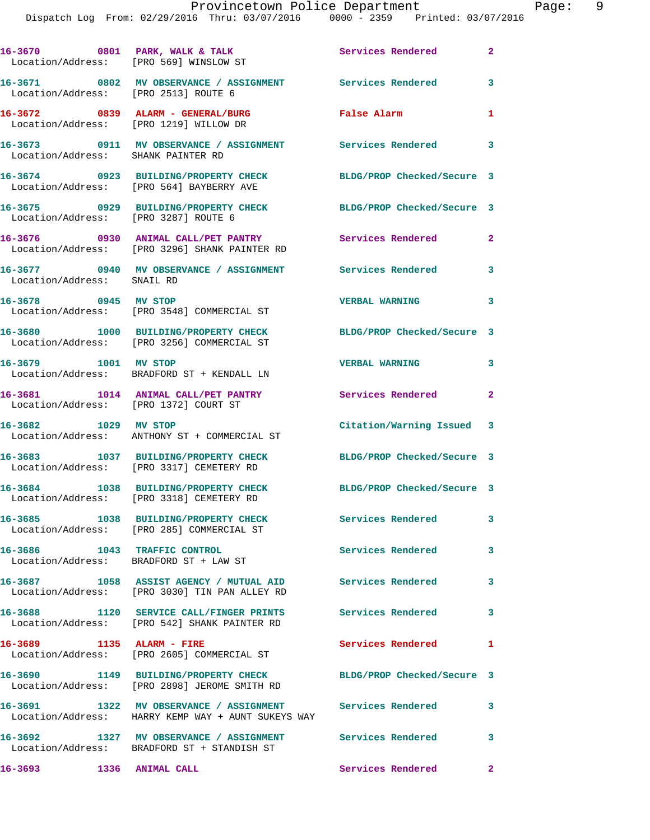|                                    | 16-3670 0801 PARK, WALK & TALK<br>Location/Address: [PRO 569] WINSLOW ST                                        | Services Rendered          | $\mathbf{2}$   |
|------------------------------------|-----------------------------------------------------------------------------------------------------------------|----------------------------|----------------|
|                                    | 16-3671 0802 MV OBSERVANCE / ASSIGNMENT Services Rendered<br>Location/Address: [PRO 2513] ROUTE 6               |                            | 3              |
|                                    | 16-3672 0839 ALARM - GENERAL/BURG<br>Location/Address: [PRO 1219] WILLOW DR                                     | False Alarm                | 1              |
| Location/Address: SHANK PAINTER RD | 16-3673 0911 MV OBSERVANCE / ASSIGNMENT Services Rendered 3                                                     |                            |                |
|                                    | 16-3674 0923 BUILDING/PROPERTY CHECK<br>Location/Address: [PRO 564] BAYBERRY AVE                                | BLDG/PROP Checked/Secure 3 |                |
|                                    | 16-3675 0929 BUILDING/PROPERTY CHECK<br>Location/Address: [PRO 3287] ROUTE 6                                    | BLDG/PROP Checked/Secure 3 |                |
|                                    | 16-3676 0930 ANIMAL CALL/PET PANTRY<br>Location/Address: [PRO 3296] SHANK PAINTER RD                            | Services Rendered          | $\mathbf{2}$   |
| Location/Address: SNAIL RD         | 16-3677 0940 MV OBSERVANCE / ASSIGNMENT Services Rendered                                                       |                            | 3              |
| 16-3678 0945 MV STOP               | Location/Address: [PRO 3548] COMMERCIAL ST                                                                      | <b>VERBAL WARNING</b>      | 3              |
|                                    | 16-3680 1000 BUILDING/PROPERTY CHECK<br>Location/Address: [PRO 3256] COMMERCIAL ST                              | BLDG/PROP Checked/Secure 3 |                |
| 16-3679 1001 MV STOP               | Location/Address: BRADFORD ST + KENDALL LN                                                                      | <b>VERBAL WARNING</b>      | 3              |
|                                    | 16-3681 1014 ANIMAL CALL/PET PANTRY<br>Location/Address: [PRO 1372] COURT ST                                    | Services Rendered          | $\overline{2}$ |
| 16-3682 1029 MV STOP               | Location/Address: ANTHONY ST + COMMERCIAL ST                                                                    | Citation/Warning Issued 3  |                |
|                                    | 16-3683 1037 BUILDING/PROPERTY CHECK<br>Location/Address: [PRO 3317] CEMETERY RD                                | BLDG/PROP Checked/Secure 3 |                |
|                                    | 16-3684 1038 BUILDING/PROPERTY CHECK<br>Location/Address: [PRO 3318] CEMETERY RD                                | BLDG/PROP Checked/Secure 3 |                |
|                                    | 16-3685 1038 BUILDING/PROPERTY CHECK<br>Location/Address: [PRO 285] COMMERCIAL ST                               | Services Rendered          | 3              |
|                                    | 16-3686 1043 TRAFFIC CONTROL<br>Location/Address: BRADFORD ST + LAW ST                                          | Services Rendered          | 3              |
|                                    | 16-3687 1058 ASSIST AGENCY / MUTUAL AID Services Rendered<br>Location/Address: [PRO 3030] TIN PAN ALLEY RD      |                            | 3              |
|                                    | 16-3688 1120 SERVICE CALL/FINGER PRINTS Services Rendered<br>Location/Address: [PRO 542] SHANK PAINTER RD       |                            | 3              |
| 16-3689 1135 ALARM - FIRE          |                                                                                                                 | Services Rendered          | $\mathbf{1}$   |
|                                    | Location/Address: [PRO 2605] COMMERCIAL ST<br>16-3690 1149 BUILDING/PROPERTY CHECK                              | BLDG/PROP Checked/Secure 3 |                |
|                                    | Location/Address: [PRO 2898] JEROME SMITH RD<br>16-3691 1322 MV OBSERVANCE / ASSIGNMENT Services Rendered       |                            | 3              |
|                                    | Location/Address: HARRY KEMP WAY + AUNT SUKEYS WAY<br>16-3692 1327 MV OBSERVANCE / ASSIGNMENT Services Rendered |                            | 3              |
| 16-3693 1336 ANIMAL CALL           | Location/Address: BRADFORD ST + STANDISH ST                                                                     | <b>Services Rendered</b>   | $\mathbf{2}$   |
|                                    |                                                                                                                 |                            |                |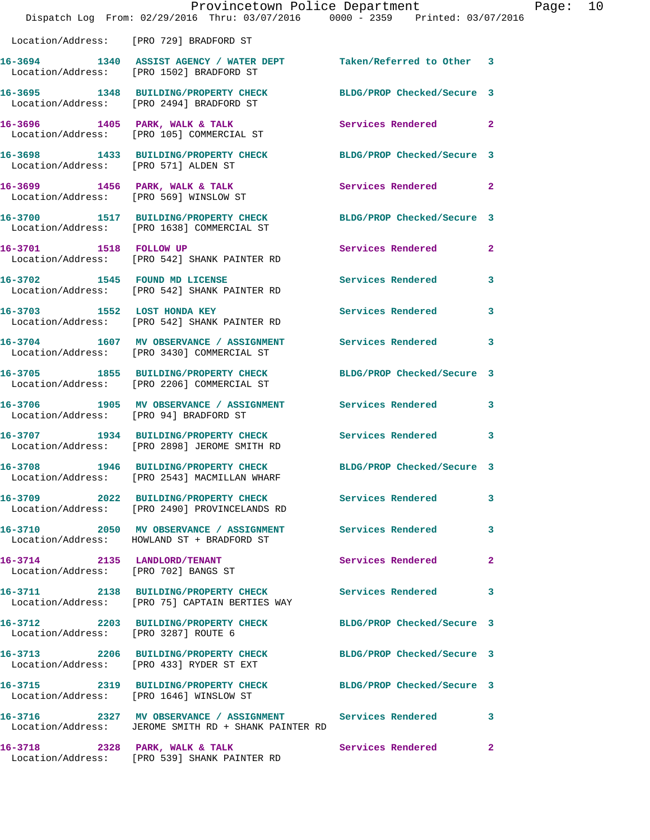|                                        | Dispatch Log From: 02/29/2016 Thru: 03/07/2016 0000 - 2359 Printed: 03/07/2016                                      | Provincetown Police Department |                | Page: 10 |  |
|----------------------------------------|---------------------------------------------------------------------------------------------------------------------|--------------------------------|----------------|----------|--|
|                                        | Location/Address: [PRO 729] BRADFORD ST                                                                             |                                |                |          |  |
|                                        | 16-3694 1340 ASSIST AGENCY / WATER DEPT Taken/Referred to Other 3<br>Location/Address: [PRO 1502] BRADFORD ST       |                                |                |          |  |
|                                        | 16-3695 1348 BUILDING/PROPERTY CHECK BLDG/PROP Checked/Secure 3<br>Location/Address: [PRO 2494] BRADFORD ST         |                                |                |          |  |
|                                        | 16-3696 1405 PARK, WALK & TALK<br>Location/Address: [PRO 105] COMMERCIAL ST                                         | Services Rendered 2            |                |          |  |
| Location/Address: [PRO 571] ALDEN ST   | 16-3698 1433 BUILDING/PROPERTY CHECK BLDG/PROP Checked/Secure 3                                                     |                                |                |          |  |
|                                        | 16-3699 1456 PARK, WALK & TALK<br>Location/Address: [PRO 569] WINSLOW ST                                            | Services Rendered 2            |                |          |  |
|                                        | 16-3700 1517 BUILDING/PROPERTY CHECK BLDG/PROP Checked/Secure 3<br>Location/Address: [PRO 1638] COMMERCIAL ST       |                                |                |          |  |
|                                        | 16-3701 1518 FOLLOW UP<br>Location/Address: [PRO 542] SHANK PAINTER RD                                              | Services Rendered              | $\overline{2}$ |          |  |
|                                        | 16-3702 1545 FOUND MD LICENSE<br>Location/Address: [PRO 542] SHANK PAINTER RD                                       | Services Rendered              | 3              |          |  |
|                                        | 16-3703 1552 LOST HONDA KEY<br>Location/Address: [PRO 542] SHANK PAINTER RD                                         | Services Rendered              | 3              |          |  |
|                                        | 16-3704 1607 MV OBSERVANCE / ASSIGNMENT Services Rendered 3<br>Location/Address: [PRO 3430] COMMERCIAL ST           |                                |                |          |  |
|                                        | 16-3705 1855 BUILDING/PROPERTY CHECK BLDG/PROP Checked/Secure 3<br>Location/Address: [PRO 2206] COMMERCIAL ST       |                                |                |          |  |
| Location/Address: [PRO 94] BRADFORD ST | 16-3706 1905 MV OBSERVANCE / ASSIGNMENT Services Rendered 3                                                         |                                |                |          |  |
|                                        | 16-3707 1934 BUILDING/PROPERTY CHECK<br>Location/Address: [PRO 2898] JEROME SMITH RD                                | <b>Services Rendered</b>       | 3              |          |  |
| 16-3708                                | 1946 BUILDING/PROPERTY CHECK BLDG/PROP Checked/Secure 3<br>Location/Address: [PRO 2543] MACMILLAN WHARF             |                                |                |          |  |
|                                        | 16-3709 2022 BUILDING/PROPERTY CHECK<br>Location/Address: [PRO 2490] PROVINCELANDS RD                               | Services Rendered              | 3              |          |  |
|                                        | 16-3710 2050 MV OBSERVANCE / ASSIGNMENT<br>Location/Address: HOWLAND ST + BRADFORD ST                               | Services Rendered 3            |                |          |  |
| Location/Address: [PRO 702] BANGS ST   | 16-3714 2135 LANDLORD/TENANT                                                                                        | Services Rendered              | 2              |          |  |
|                                        | 16-3711 2138 BUILDING/PROPERTY CHECK<br>Location/Address: [PRO 75] CAPTAIN BERTIES WAY                              | Services Rendered              | 3              |          |  |
| Location/Address: [PRO 3287] ROUTE 6   | 16-3712 2203 BUILDING/PROPERTY CHECK BLDG/PROP Checked/Secure 3                                                     |                                |                |          |  |
|                                        | 16-3713 2206 BUILDING/PROPERTY CHECK BLDG/PROP Checked/Secure 3<br>Location/Address: [PRO 433] RYDER ST EXT         |                                |                |          |  |
|                                        | 16-3715 2319 BUILDING/PROPERTY CHECK BLDG/PROP Checked/Secure 3<br>Location/Address: [PRO 1646] WINSLOW ST          |                                |                |          |  |
|                                        | 16-3716 2327 MV OBSERVANCE / ASSIGNMENT Services Rendered 3<br>Location/Address: JEROME SMITH RD + SHANK PAINTER RD |                                |                |          |  |
|                                        | 16-3718 2328 PARK, WALK & TALK<br>Location/Address: [PRO 539] SHANK PAINTER RD                                      | Services Rendered              | $\mathbf{2}$   |          |  |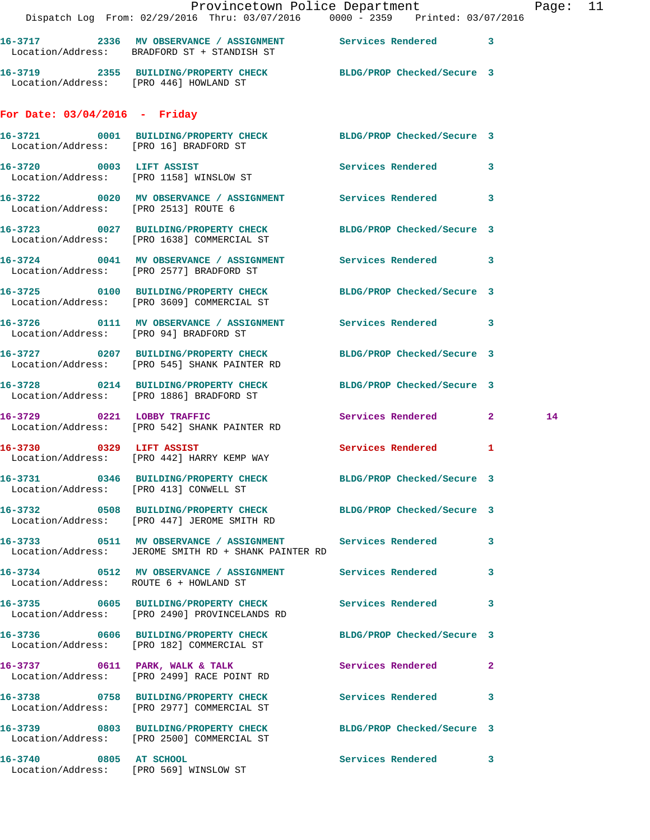|                                      | Dispatch Log From: 02/29/2016 Thru: 03/07/2016 0000 - 2359 Printed: 03/07/2016                                      |                     |              |    |  |
|--------------------------------------|---------------------------------------------------------------------------------------------------------------------|---------------------|--------------|----|--|
|                                      | 16-3717 2336 MV OBSERVANCE / ASSIGNMENT Services Rendered 3<br>Location/Address: BRADFORD ST + STANDISH ST          |                     |              |    |  |
|                                      | 16-3719  2355  BUILDING/PROPERTY CHECK BLDG/PROP Checked/Secure 3<br>Location/Address: [PRO 446] HOWLAND ST         |                     |              |    |  |
| For Date: $03/04/2016$ - Friday      |                                                                                                                     |                     |              |    |  |
|                                      | 16-3721 0001 BUILDING/PROPERTY CHECK BLDG/PROP Checked/Secure 3<br>Location/Address: [PRO 16] BRADFORD ST           |                     |              |    |  |
|                                      | 16-3720 0003 LIFT ASSIST<br>Location/Address: [PRO 1158] WINSLOW ST                                                 | Services Rendered 3 |              |    |  |
| Location/Address: [PRO 2513] ROUTE 6 | 16-3722 0020 MV OBSERVANCE / ASSIGNMENT Services Rendered 3                                                         |                     |              |    |  |
|                                      | 16-3723 0027 BUILDING/PROPERTY CHECK BLDG/PROP Checked/Secure 3<br>Location/Address: [PRO 1638] COMMERCIAL ST       |                     |              |    |  |
|                                      | 16-3724 0041 MV OBSERVANCE / ASSIGNMENT Services Rendered 3<br>Location/Address: [PRO 2577] BRADFORD ST             |                     |              |    |  |
|                                      | 16-3725 0100 BUILDING/PROPERTY CHECK BLDG/PROP Checked/Secure 3<br>Location/Address: [PRO 3609] COMMERCIAL ST       |                     |              |    |  |
|                                      | 16-3726 0111 MV OBSERVANCE / ASSIGNMENT Services Rendered 3<br>Location/Address: [PRO 94] BRADFORD ST               |                     |              |    |  |
|                                      | 16-3727 0207 BUILDING/PROPERTY CHECK BLDG/PROP Checked/Secure 3<br>Location/Address: [PRO 545] SHANK PAINTER RD     |                     |              |    |  |
|                                      | 16-3728 0214 BUILDING/PROPERTY CHECK BLDG/PROP Checked/Secure 3<br>Location/Address: [PRO 1886] BRADFORD ST         |                     |              |    |  |
|                                      | 16-3729 0221 LOBBY TRAFFIC<br>Location/Address: [PRO 542] SHANK PAINTER RD                                          | Services Rendered 2 |              | 14 |  |
|                                      | 16-3730 0329 LIFT ASSIST<br>Location/Address: [PRO 442] HARRY KEMP WAY                                              | Services Rendered 1 |              |    |  |
|                                      | 16-3731 0346 BUILDING/PROPERTY CHECK BLDG/PROP Checked/Secure 3<br>Location/Address: [PRO 413] CONWELL ST           |                     |              |    |  |
|                                      | 16-3732 0508 BUILDING/PROPERTY CHECK BLDG/PROP Checked/Secure 3<br>Location/Address: [PRO 447] JEROME SMITH RD      |                     |              |    |  |
|                                      | 16-3733 0511 MV OBSERVANCE / ASSIGNMENT Services Rendered 3<br>Location/Address: JEROME SMITH RD + SHANK PAINTER RD |                     |              |    |  |
|                                      | 16-3734 0512 MV OBSERVANCE / ASSIGNMENT Services Rendered 3<br>Location/Address: ROUTE 6 + HOWLAND ST               |                     |              |    |  |
|                                      | 16-3735 0605 BUILDING/PROPERTY CHECK Services Rendered 3<br>Location/Address: [PRO 2490] PROVINCELANDS RD           |                     |              |    |  |
|                                      | 16-3736 0606 BUILDING/PROPERTY CHECK BLDG/PROP Checked/Secure 3<br>Location/Address: [PRO 182] COMMERCIAL ST        |                     |              |    |  |
|                                      | 16-3737 0611 PARK, WALK & TALK Services Rendered<br>Location/Address: [PRO 2499] RACE POINT RD                      |                     | $\mathbf{2}$ |    |  |
|                                      | 16-3738 0758 BUILDING/PROPERTY CHECK Services Rendered 3<br>Location/Address: [PRO 2977] COMMERCIAL ST              |                     |              |    |  |
|                                      | 16-3739 0803 BUILDING/PROPERTY CHECK BLDG/PROP Checked/Secure 3<br>Location/Address: [PRO 2500] COMMERCIAL ST       |                     |              |    |  |
| 16-3740 0805 AT SCHOOL               | Location/Address: [PRO 569] WINSLOW ST                                                                              | Services Rendered 3 |              |    |  |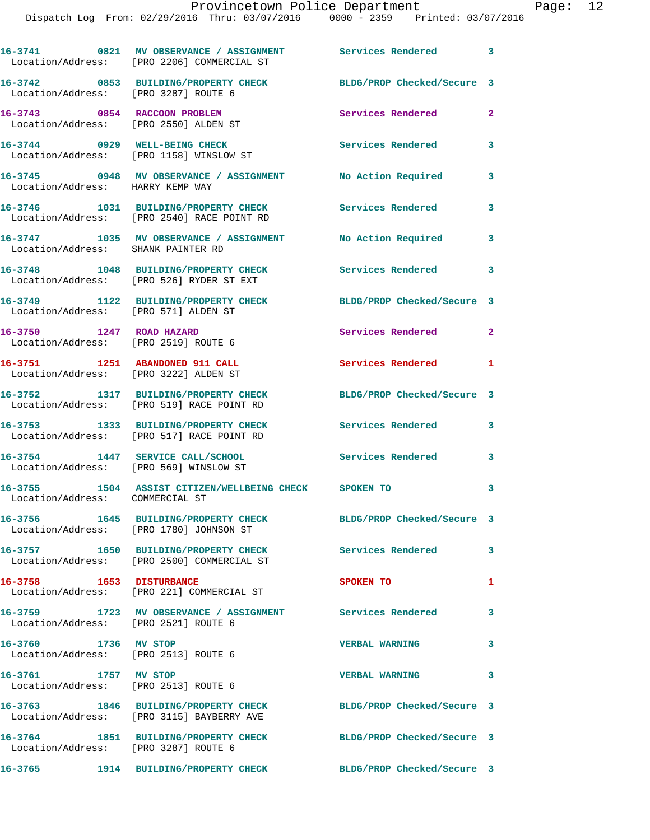|                                                                          | 16-3741 0821 MV OBSERVANCE / ASSIGNMENT Services Rendered 3<br>Location/Address: [PRO 2206] COMMERCIAL ST    |                            |              |
|--------------------------------------------------------------------------|--------------------------------------------------------------------------------------------------------------|----------------------------|--------------|
| Location/Address: [PRO 3287] ROUTE 6                                     | 16-3742 0853 BUILDING/PROPERTY CHECK                                                                         | BLDG/PROP Checked/Secure 3 |              |
| 16-3743 0854 RACCOON PROBLEM<br>Location/Address: [PRO 2550] ALDEN ST    |                                                                                                              | Services Rendered          | $\mathbf{2}$ |
| 16-3744 0929 WELL-BEING CHECK<br>Location/Address: [PRO 1158] WINSLOW ST |                                                                                                              | Services Rendered          | $\mathbf{3}$ |
|                                                                          |                                                                                                              | No Action Required         | 3            |
|                                                                          | 16-3746 1031 BUILDING/PROPERTY CHECK<br>Location/Address: [PRO 2540] RACE POINT RD                           | Services Rendered          | 3            |
|                                                                          |                                                                                                              | No Action Required         | 3            |
|                                                                          | 16-3748 1048 BUILDING/PROPERTY CHECK<br>Location/Address: [PRO 526] RYDER ST EXT                             | <b>Services Rendered</b>   | $\mathbf{3}$ |
| Location/Address: [PRO 571] ALDEN ST                                     | 16-3749 1122 BUILDING/PROPERTY CHECK                                                                         | BLDG/PROP Checked/Secure 3 |              |
| 16-3750 1247 ROAD HAZARD<br>Location/Address: [PRO 2519] ROUTE 6         |                                                                                                              | Services Rendered          | $\mathbf{2}$ |
| 16-3751 1251 ABANDONED 911 CALL<br>Location/Address: [PRO 3222] ALDEN ST |                                                                                                              | <b>Services Rendered</b> 1 |              |
|                                                                          | 16-3752 1317 BUILDING/PROPERTY CHECK<br>Location/Address: [PRO 519] RACE POINT RD                            | BLDG/PROP Checked/Secure 3 |              |
|                                                                          | 16-3753 1333 BUILDING/PROPERTY CHECK<br>Location/Address: [PRO 517] RACE POINT RD                            | <b>Services Rendered</b> 3 |              |
| 16-3754 1447 SERVICE CALL/SCHOOL                                         | Location/Address: [PRO 569] WINSLOW ST                                                                       | <b>Services Rendered</b>   | 3            |
| Location/Address: COMMERCIAL ST                                          | 16-3755 1504 ASSIST CITIZEN/WELLBEING CHECK SPOKEN TO                                                        |                            | 3            |
|                                                                          | Location/Address: [PRO 1780] JOHNSON ST                                                                      | BLDG/PROP Checked/Secure 3 |              |
|                                                                          | 16-3757 1650 BUILDING/PROPERTY CHECK<br>Location/Address: [PRO 2500] COMMERCIAL ST                           | Services Rendered          | 3            |
| 16-3758 1653 DISTURBANCE                                                 | Location/Address: [PRO 221] COMMERCIAL ST                                                                    | SPOKEN TO                  | $\mathbf{1}$ |
| Location/Address: [PRO 2521] ROUTE 6                                     | 16-3759 1723 MV OBSERVANCE / ASSIGNMENT Services Rendered                                                    |                            | 3            |
| 16-3760 1736 MV STOP<br>Location/Address: [PRO 2513] ROUTE 6             |                                                                                                              | <b>VERBAL WARNING</b>      | 3            |
| 16-3761 1757 MV STOP<br>Location/Address: [PRO 2513] ROUTE 6             |                                                                                                              | <b>VERBAL WARNING</b>      | $\mathbf{3}$ |
|                                                                          | 16-3763 1846 BUILDING/PROPERTY CHECK BLDG/PROP Checked/Secure 3<br>Location/Address: [PRO 3115] BAYBERRY AVE |                            |              |
| Location/Address: [PRO 3287] ROUTE 6                                     | 16-3764 1851 BUILDING/PROPERTY CHECK                                                                         | BLDG/PROP Checked/Secure 3 |              |
| 16-3765                                                                  | 1914 BUILDING/PROPERTY CHECK BLDG/PROP Checked/Secure 3                                                      |                            |              |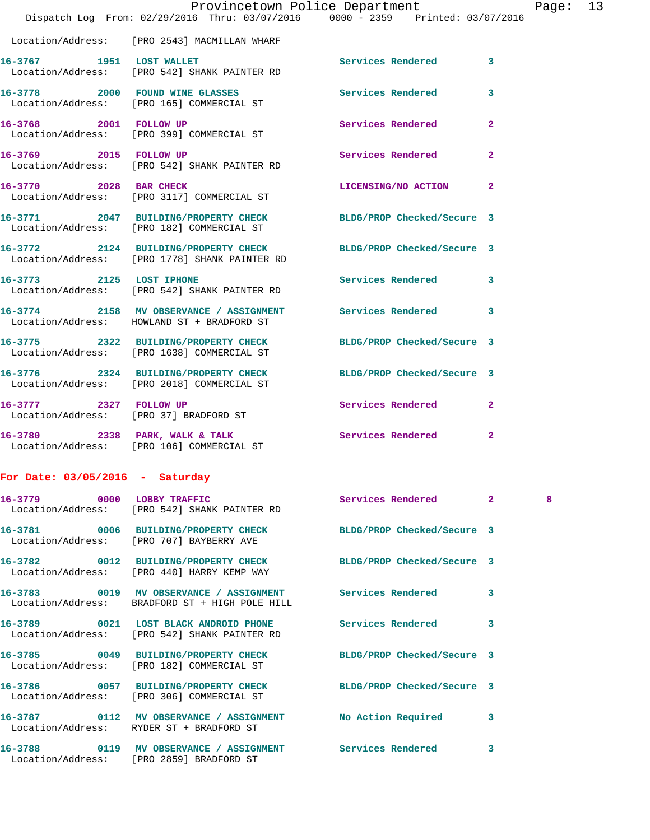|                                   | Provincetown Police Department<br>Dispatch Log From: 02/29/2016 Thru: 03/07/2016 0000 - 2359 Printed: 03/07/2016 |                            |                | Pag |
|-----------------------------------|------------------------------------------------------------------------------------------------------------------|----------------------------|----------------|-----|
|                                   | Location/Address: [PRO 2543] MACMILLAN WHARF                                                                     |                            |                |     |
|                                   | 16-3767 1951 LOST WALLET<br>Location/Address: [PRO 542] SHANK PAINTER RD                                         | <b>Services Rendered</b>   | 3              |     |
|                                   | 16-3778 2000 FOUND WINE GLASSES Services Rendered<br>Location/Address: [PRO 165] COMMERCIAL ST                   |                            | 3              |     |
|                                   | 16-3768 2001 FOLLOW UP<br>Location/Address: [PRO 399] COMMERCIAL ST                                              | Services Rendered          | $\overline{a}$ |     |
|                                   | 16-3769 2015 FOLLOW UP<br>Location/Address: [PRO 542] SHANK PAINTER RD                                           | Services Rendered          | $\overline{a}$ |     |
| 16-3770 2028 BAR CHECK            | Location/Address: [PRO 3117] COMMERCIAL ST                                                                       | LICENSING/NO ACTION        | $\overline{2}$ |     |
|                                   | 16-3771 2047 BUILDING/PROPERTY CHECK BLDG/PROP Checked/Secure 3<br>Location/Address: [PRO 182] COMMERCIAL ST     |                            |                |     |
|                                   | 16-3772 2124 BUILDING/PROPERTY CHECK BLDG/PROP Checked/Secure 3<br>Location/Address: [PRO 1778] SHANK PAINTER RD |                            |                |     |
|                                   | 16-3773 2125 LOST IPHONE<br>Location/Address: [PRO 542] SHANK PAINTER RD                                         | Services Rendered          | 3              |     |
|                                   | 16-3774 2158 MV OBSERVANCE / ASSIGNMENT Services Rendered<br>Location/Address: HOWLAND ST + BRADFORD ST          |                            | 3              |     |
|                                   | 16-3775 2322 BUILDING/PROPERTY CHECK<br>Location/Address: [PRO 1638] COMMERCIAL ST                               | BLDG/PROP Checked/Secure 3 |                |     |
|                                   | 16-3776 2324 BUILDING/PROPERTY CHECK<br>Location/Address: [PRO 2018] COMMERCIAL ST                               | BLDG/PROP Checked/Secure 3 |                |     |
|                                   | 16-3777 2327 FOLLOW UP<br>Location/Address: [PRO 37] BRADFORD ST                                                 | Services Rendered          | $\overline{2}$ |     |
|                                   | 16-3780 2338 PARK, WALK & TALK<br>Location/Address: [PRO 106] COMMERCIAL ST                                      | Services Rendered          | 2              |     |
| For Date: $03/05/2016$ - Saturday |                                                                                                                  |                            |                |     |
| 16-3779 0000 LOBBY TRAFFIC        | Location/Address: [PRO 542] SHANK PAINTER RD                                                                     | Services Rendered          | $\overline{2}$ | 8   |
|                                   | 16-3781 0006 BUILDING/PROPERTY CHECK<br>Location/Address: [PRO 707] BAYBERRY AVE                                 | BLDG/PROP Checked/Secure 3 |                |     |
|                                   | 16-3782 0012 BUILDING/PROPERTY CHECK<br>Location/Address: [PRO 440] HARRY KEMP WAY                               | BLDG/PROP Checked/Secure 3 |                |     |
|                                   | 16-3783 0019 MV OBSERVANCE / ASSIGNMENT Services Rendered<br>Location/Address: BRADFORD ST + HIGH POLE HILL      |                            | 3              |     |
|                                   | 16-3789 0021 LOST BLACK ANDROID PHONE<br>Location/Address: [PRO 542] SHANK PAINTER RD                            | Services Rendered          | 3              |     |
|                                   | 16-3785 0049 BUILDING/PROPERTY CHECK<br>Location/Address: [PRO 182] COMMERCIAL ST                                | BLDG/PROP Checked/Secure 3 |                |     |
|                                   | 16-3786 0057 BUILDING/PROPERTY CHECK<br>Location/Address: [PRO 306] COMMERCIAL ST                                | BLDG/PROP Checked/Secure 3 |                |     |
|                                   | 16-3787  0112 MV OBSERVANCE / ASSIGNMENT  No Action Required<br>Location/Address: RYDER ST + BRADFORD ST         |                            | 3              |     |
|                                   | 16-3788   0119 MV OBSERVANCE / ASSIGNMENT   Services Rendered                                                    |                            | $\mathbf{3}$   |     |

Location/Address: [PRO 2859] BRADFORD ST

Page: 13<br>016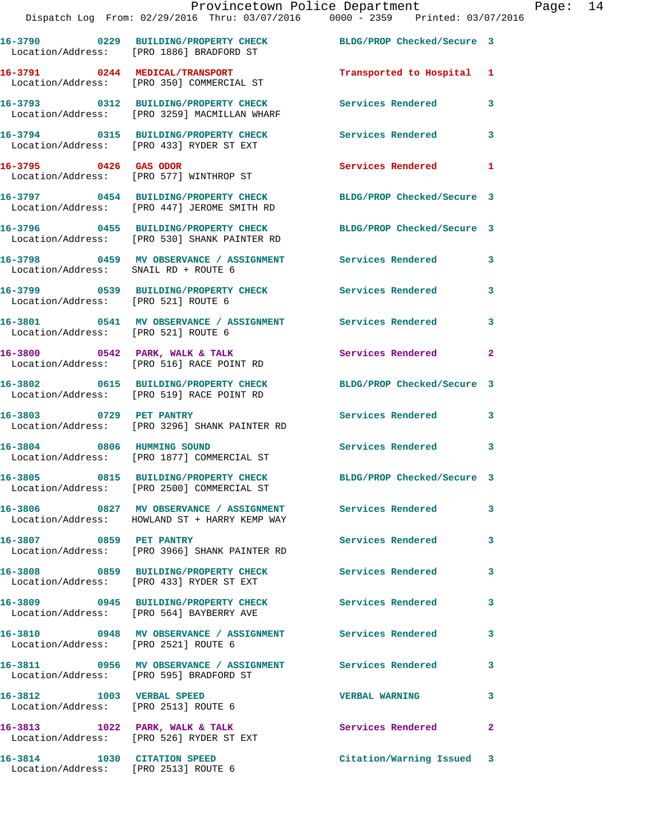|                                                                   | 16-3790 0229 BUILDING/PROPERTY CHECK<br>Location/Address: [PRO 1886] BRADFORD ST                     | BLDG/PROP Checked/Secure 3 |              |
|-------------------------------------------------------------------|------------------------------------------------------------------------------------------------------|----------------------------|--------------|
|                                                                   | 16-3791 0244 MEDICAL/TRANSPORT<br>Location/Address: [PRO 350] COMMERCIAL ST                          | Transported to Hospital 1  |              |
|                                                                   | 16-3793 0312 BUILDING/PROPERTY CHECK<br>Location/Address: [PRO 3259] MACMILLAN WHARF                 | Services Rendered          | 3            |
|                                                                   | 16-3794 0315 BUILDING/PROPERTY CHECK<br>Location/Address: [PRO 433] RYDER ST EXT                     | <b>Services Rendered</b>   | 3            |
| 16-3795 0426 GAS ODOR                                             | Location/Address: [PRO 577] WINTHROP ST                                                              | Services Rendered 1        |              |
|                                                                   | 16-3797 0454 BUILDING/PROPERTY CHECK<br>Location/Address: [PRO 447] JEROME SMITH RD                  | BLDG/PROP Checked/Secure 3 |              |
|                                                                   | 16-3796 0455 BUILDING/PROPERTY CHECK<br>Location/Address: [PRO 530] SHANK PAINTER RD                 | BLDG/PROP Checked/Secure 3 |              |
| Location/Address: SNAIL RD + ROUTE 6                              | 16-3798 0459 MV OBSERVANCE / ASSIGNMENT Services Rendered                                            |                            | 3            |
| Location/Address: [PRO 521] ROUTE 6                               | 16-3799 0539 BUILDING/PROPERTY CHECK Services Rendered                                               |                            | 3            |
| Location/Address: [PRO 521] ROUTE 6                               | 16-3801 0541 MV OBSERVANCE / ASSIGNMENT Services Rendered                                            |                            | 3            |
|                                                                   | 16-3800 0542 PARK, WALK & TALK<br>Location/Address: [PRO 516] RACE POINT RD                          | Services Rendered          | $\mathbf{2}$ |
|                                                                   | 16-3802 0615 BUILDING/PROPERTY CHECK<br>Location/Address: [PRO 519] RACE POINT RD                    | BLDG/PROP Checked/Secure 3 |              |
| 16-3803 0729 PET PANTRY                                           | Location/Address: [PRO 3296] SHANK PAINTER RD                                                        | Services Rendered          | 3            |
|                                                                   | 16-3804 0806 HUMMING SOUND<br>Location/Address: [PRO 1877] COMMERCIAL ST                             | <b>Services Rendered</b>   | 3            |
|                                                                   | 16-3805 0815 BUILDING/PROPERTY CHECK<br>Location/Address: [PRO 2500] COMMERCIAL ST                   | BLDG/PROP Checked/Secure 3 |              |
|                                                                   | 16-3806 0827 MV OBSERVANCE / ASSIGNMENT<br>Location/Address: HOWLAND ST + HARRY KEMP WAY             | <b>Services Rendered</b>   | 3            |
| 16-3807 0859 PET PANTRY                                           | Location/Address: [PRO 3966] SHANK PAINTER RD                                                        | <b>Services Rendered</b>   | $\mathbf{3}$ |
|                                                                   | 16-3808 0859 BUILDING/PROPERTY CHECK<br>Location/Address: [PRO 433] RYDER ST EXT                     | <b>Services Rendered</b>   | 3            |
|                                                                   | 16-3809 0945 BUILDING/PROPERTY CHECK<br>Location/Address: [PRO 564] BAYBERRY AVE                     | <b>Services Rendered</b>   | 3            |
| Location/Address: [PRO 2521] ROUTE 6                              | 16-3810 0948 MV OBSERVANCE / ASSIGNMENT Services Rendered                                            |                            | 3            |
|                                                                   | 16-3811 0956 MV OBSERVANCE / ASSIGNMENT Services Rendered<br>Location/Address: [PRO 595] BRADFORD ST |                            | 3            |
| 16-3812 1003 VERBAL SPEED<br>Location/Address: [PRO 2513] ROUTE 6 |                                                                                                      | <b>VERBAL WARNING</b>      | 3            |
|                                                                   | 16-3813 1022 PARK, WALK & TALK<br>Location/Address: [PRO 526] RYDER ST EXT                           | Services Rendered          | $\mathbf{2}$ |
| 16-3814<br>Location/Address: [PRO 2513] ROUTE 6                   | 1030 CITATION SPEED                                                                                  | Citation/Warning Issued 3  |              |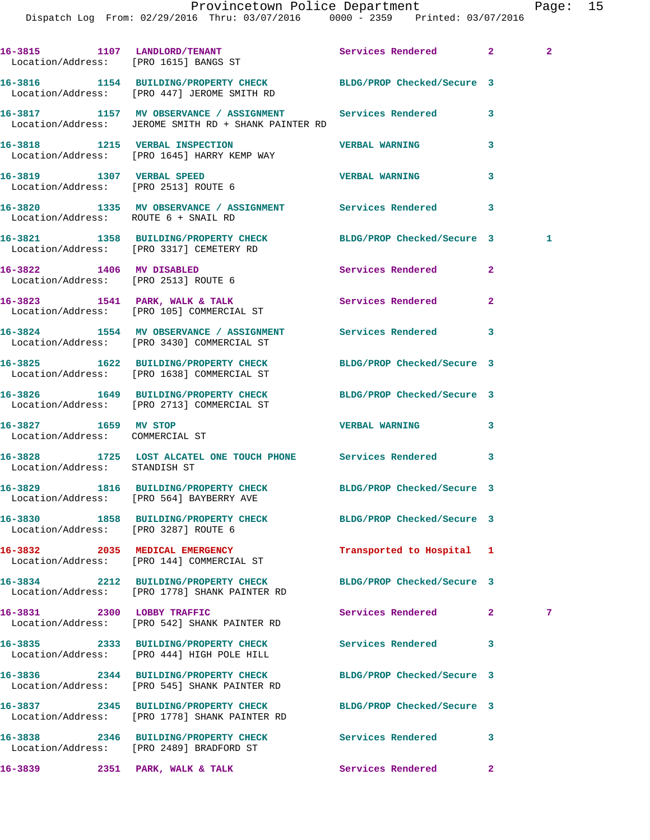|                                                         | 16-3815 1107 LANDLORD/TENANT Services Rendered 2<br>Location/Address: [PRO 1615] BANGS ST                         |                            |                | $\mathbf{2}$ |
|---------------------------------------------------------|-------------------------------------------------------------------------------------------------------------------|----------------------------|----------------|--------------|
|                                                         | 16-3816 1154 BUILDING/PROPERTY CHECK BLDG/PROP Checked/Secure 3<br>Location/Address: [PRO 447] JEROME SMITH RD    |                            |                |              |
|                                                         | 16-3817 1157 MV OBSERVANCE / ASSIGNMENT Services Rendered<br>Location/Address: JEROME SMITH RD + SHANK PAINTER RD |                            | 3              |              |
|                                                         | 16-3818 1215 VERBAL INSPECTION<br>Location/Address: [PRO 1645] HARRY KEMP WAY                                     | <b>VERBAL WARNING</b>      | 3              |              |
|                                                         | 16-3819 1307 VERBAL SPEED<br>Location/Address: [PRO 2513] ROUTE 6                                                 | <b>VERBAL WARNING</b>      | 3              |              |
|                                                         | 16-3820 1335 MV OBSERVANCE / ASSIGNMENT Services Rendered 3<br>Location/Address: ROUTE 6 + SNAIL RD               |                            |                |              |
|                                                         | 16-3821 1358 BUILDING/PROPERTY CHECK BLDG/PROP Checked/Secure 3<br>Location/Address: [PRO 3317] CEMETERY RD       |                            |                | 1            |
|                                                         | 16-3822 1406 MV DISABLED<br>Location/Address: [PRO 2513] ROUTE 6                                                  | <b>Services Rendered</b> 2 |                |              |
|                                                         | 16-3823 1541 PARK, WALK & TALK 1999 Services Rendered<br>Location/Address: [PRO 105] COMMERCIAL ST                |                            | $\mathbf{2}$   |              |
|                                                         | 16-3824 1554 MV OBSERVANCE / ASSIGNMENT Services Rendered 3<br>Location/Address: [PRO 3430] COMMERCIAL ST         |                            |                |              |
|                                                         | 16-3825 1622 BUILDING/PROPERTY CHECK BLDG/PROP Checked/Secure 3<br>Location/Address: [PRO 1638] COMMERCIAL ST     |                            |                |              |
|                                                         | 16-3826 1649 BUILDING/PROPERTY CHECK BLDG/PROP Checked/Secure 3<br>Location/Address: [PRO 2713] COMMERCIAL ST     |                            |                |              |
| 16-3827 1659 MV STOP<br>Location/Address: COMMERCIAL ST |                                                                                                                   | <b>VERBAL WARNING</b>      | 3              |              |
| Location/Address: STANDISH ST                           | 16-3828 1725 LOST ALCATEL ONE TOUCH PHONE Services Rendered                                                       |                            | 3              |              |
|                                                         | 16-3829 1816 BUILDING/PROPERTY CHECK BLDG/PROP Checked/Secure 3<br>Location/Address: [PRO 564] BAYBERRY AVE       |                            |                |              |
|                                                         | 16-3830 1858 BUILDING/PROPERTY CHECK<br>Location/Address: [PRO 3287] ROUTE 6                                      | BLDG/PROP Checked/Secure 3 |                |              |
|                                                         | 16-3832 2035 MEDICAL EMERGENCY<br>Location/Address: [PRO 144] COMMERCIAL ST                                       | Transported to Hospital 1  |                |              |
|                                                         | 16-3834 2212 BUILDING/PROPERTY CHECK<br>Location/Address: [PRO 1778] SHANK PAINTER RD                             | BLDG/PROP Checked/Secure 3 |                |              |
| 16-3831 2300 LOBBY TRAFFIC                              | Location/Address: [PRO 542] SHANK PAINTER RD                                                                      | Services Rendered          | $\mathbf{2}^-$ | 7            |
|                                                         | 16-3835 2333 BUILDING/PROPERTY CHECK<br>Location/Address: [PRO 444] HIGH POLE HILL                                | Services Rendered          | 3              |              |
|                                                         | 16-3836 2344 BUILDING/PROPERTY CHECK<br>Location/Address: [PRO 545] SHANK PAINTER RD                              | BLDG/PROP Checked/Secure 3 |                |              |
|                                                         | 16-3837 2345 BUILDING/PROPERTY CHECK<br>Location/Address: [PRO 1778] SHANK PAINTER RD                             | BLDG/PROP Checked/Secure 3 |                |              |
|                                                         | 16-3838 2346 BUILDING/PROPERTY CHECK<br>Location/Address: [PRO 2489] BRADFORD ST                                  | Services Rendered          | 3              |              |
| 16-3839                                                 | 2351 PARK, WALK & TALK                                                                                            | <b>Services Rendered</b>   | $\mathbf{2}$   |              |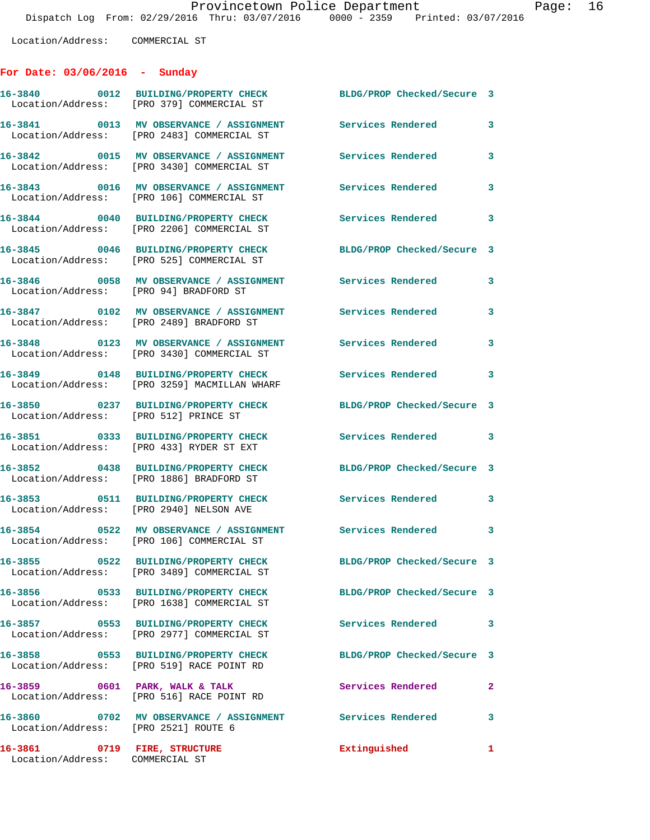Location/Address: COMMERCIAL ST

## **For Date: 03/06/2016 - Sunday**

|                                                                 | 16-3840 0012 BUILDING/PROPERTY CHECK<br>Location/Address: [PRO 379] COMMERCIAL ST                               | BLDG/PROP Checked/Secure 3 |                         |
|-----------------------------------------------------------------|-----------------------------------------------------------------------------------------------------------------|----------------------------|-------------------------|
|                                                                 | 16-3841 0013 MV OBSERVANCE / ASSIGNMENT<br>Location/Address: [PRO 2483] COMMERCIAL ST                           | Services Rendered          | 3                       |
|                                                                 | 16-3842 0015 MV OBSERVANCE / ASSIGNMENT<br>Location/Address: [PRO 3430] COMMERCIAL ST                           | <b>Services Rendered</b>   | 3                       |
|                                                                 | 16-3843 0016 MV OBSERVANCE / ASSIGNMENT<br>Location/Address: [PRO 106] COMMERCIAL ST                            | Services Rendered          | 3                       |
|                                                                 | 16-3844 0040 BUILDING/PROPERTY CHECK<br>Location/Address: [PRO 2206] COMMERCIAL ST                              | <b>Services Rendered</b>   | $\mathbf{3}$            |
|                                                                 | 16-3845 0046 BUILDING/PROPERTY CHECK<br>Location/Address: [PRO 525] COMMERCIAL ST                               | BLDG/PROP Checked/Secure 3 |                         |
| Location/Address: [PRO 94] BRADFORD ST                          | 16-3846 60058 MV OBSERVANCE / ASSIGNMENT Services Rendered                                                      |                            | 3                       |
|                                                                 | 16-3847 0102 MV OBSERVANCE / ASSIGNMENT Services Rendered<br>Location/Address: [PRO 2489] BRADFORD ST           | $\sim$ 3                   |                         |
|                                                                 | 16-3848 0123 MV OBSERVANCE / ASSIGNMENT<br>Location/Address: [PRO 3430] COMMERCIAL ST                           | <b>Services Rendered</b>   | 3                       |
|                                                                 | 16-3849 0148 BUILDING/PROPERTY CHECK<br>Location/Address: [PRO 3259] MACMILLAN WHARF                            | Services Rendered 3        |                         |
| Location/Address: [PRO 512] PRINCE ST                           | 16-3850 0237 BUILDING/PROPERTY CHECK                                                                            | BLDG/PROP Checked/Secure 3 |                         |
|                                                                 | 16-3851 0333 BUILDING/PROPERTY CHECK<br>Location/Address: [PRO 433] RYDER ST EXT                                | Services Rendered 3        |                         |
|                                                                 | 16-3852 0438 BUILDING/PROPERTY CHECK<br>Location/Address: [PRO 1886] BRADFORD ST                                | BLDG/PROP Checked/Secure 3 |                         |
| Location/Address: [PRO 2940] NELSON AVE                         | 16-3853 0511 BUILDING/PROPERTY CHECK                                                                            | <b>Services Rendered</b>   | $\overline{\mathbf{3}}$ |
|                                                                 | 16-3854 0522 MV OBSERVANCE / ASSIGNMENT Services Rendered 3<br>Location/Address: [PRO 106] COMMERCIAL ST        |                            |                         |
|                                                                 | 16-3855 0522 BUILDING/PROPERTY CHECK<br>Location/Address: [PRO 3489] COMMERCIAL ST                              | BLDG/PROP Checked/Secure 3 |                         |
|                                                                 | 16-3856 0533 BUILDING/PROPERTY CHECK<br>Location/Address: [PRO 1638] COMMERCIAL ST                              | BLDG/PROP Checked/Secure 3 |                         |
|                                                                 | 16-3857 0553 BUILDING/PROPERTY CHECK<br>Location/Address: [PRO 2977] COMMERCIAL ST                              | Services Rendered 3        |                         |
|                                                                 | 16-3858 0553 BUILDING/PROPERTY CHECK<br>Location/Address: [PRO 519] RACE POINT RD                               | BLDG/PROP Checked/Secure 3 |                         |
| 16-3859 0601 PARK, WALK & TALK                                  | Location/Address: [PRO 516] RACE POINT RD                                                                       | Services Rendered          | $\mathbf{2}$            |
|                                                                 | 16-3860      0702   MV OBSERVANCE / ASSIGNMENT       Services Rendered<br>Location/Address:   [PRO 2521]ROUTE 6 |                            | 3                       |
| 16-3861 0719 FIRE, STRUCTURE<br>Location/Address: COMMERCIAL ST |                                                                                                                 | Extinguished               | $\mathbf{1}$            |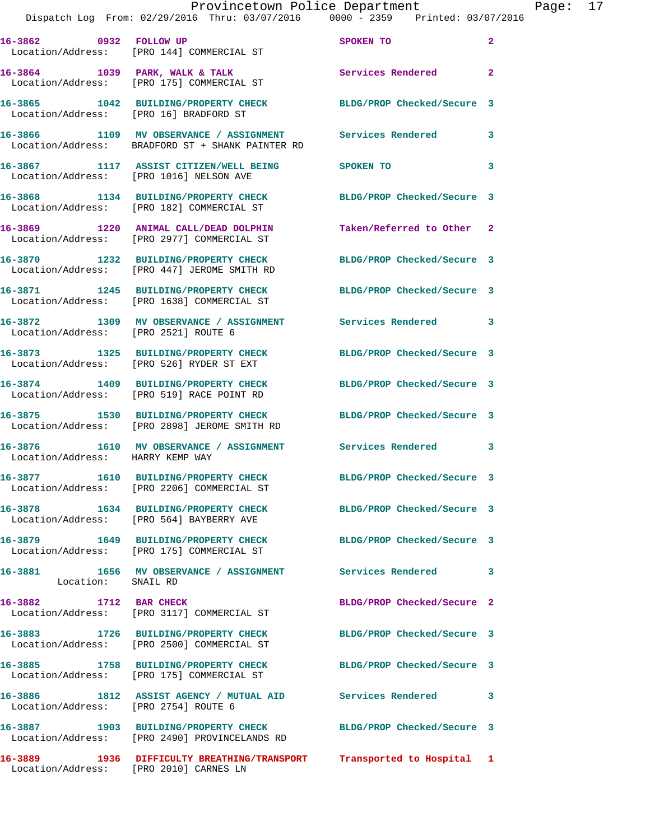|                                      | Provincetown Police Department                                                                                  |                            |                |
|--------------------------------------|-----------------------------------------------------------------------------------------------------------------|----------------------------|----------------|
|                                      | Dispatch Log From: 02/29/2016 Thru: 03/07/2016 0000 - 2359 Printed: 03/07/2016                                  |                            |                |
|                                      | 16-3862 0932 FOLLOW UP<br>Location/Address: [PRO 144] COMMERCIAL ST                                             | SPOKEN TO                  | $\overline{a}$ |
|                                      | 16-3864 1039 PARK, WALK & TALK<br>Location/Address: [PRO 175] COMMERCIAL ST                                     | Services Rendered          | $\overline{a}$ |
|                                      | 16-3865 1042 BUILDING/PROPERTY CHECK<br>Location/Address: [PRO 16] BRADFORD ST                                  | BLDG/PROP Checked/Secure 3 |                |
|                                      | 16-3866 1109 MV OBSERVANCE / ASSIGNMENT Services Rendered<br>Location/Address: BRADFORD ST + SHANK PAINTER RD   |                            | 3              |
|                                      | 16-3867 1117 ASSIST CITIZEN/WELL BEING<br>Location/Address: [PRO 1016] NELSON AVE                               | SPOKEN TO                  | 3              |
|                                      | 16-3868 1134 BUILDING/PROPERTY CHECK<br>Location/Address: [PRO 182] COMMERCIAL ST                               | BLDG/PROP Checked/Secure 3 |                |
|                                      | 16-3869 1220 ANIMAL CALL/DEAD DOLPHIN<br>Location/Address: [PRO 2977] COMMERCIAL ST                             | Taken/Referred to Other    | $\mathbf{2}$   |
|                                      | 16-3870 1232 BUILDING/PROPERTY CHECK<br>Location/Address: [PRO 447] JEROME SMITH RD                             | BLDG/PROP Checked/Secure 3 |                |
|                                      | 16-3871 1245 BUILDING/PROPERTY CHECK<br>Location/Address: [PRO 1638] COMMERCIAL ST                              | BLDG/PROP Checked/Secure 3 |                |
| Location/Address: [PRO 2521] ROUTE 6 | 16-3872 1309 MV OBSERVANCE / ASSIGNMENT Services Rendered                                                       |                            | 3              |
|                                      | 16-3873 1325 BUILDING/PROPERTY CHECK BLDG/PROP Checked/Secure 3<br>Location/Address: [PRO 526] RYDER ST EXT     |                            |                |
|                                      | 16-3874 1409 BUILDING/PROPERTY CHECK<br>Location/Address: [PRO 519] RACE POINT RD                               | BLDG/PROP Checked/Secure 3 |                |
|                                      | 16-3875 1530 BUILDING/PROPERTY CHECK BLDG/PROP Checked/Secure 3<br>Location/Address: [PRO 2898] JEROME SMITH RD |                            |                |
| Location/Address: HARRY KEMP WAY     | 16-3876 1610 MV OBSERVANCE / ASSIGNMENT Services Rendered                                                       |                            | 3              |
|                                      | 16-3877 1610 BUILDING/PROPERTY CHECK BLDG/PROP Checked/Secure 3<br>Location/Address: [PRO 2206] COMMERCIAL ST   |                            |                |
|                                      | 16-3878 1634 BUILDING/PROPERTY CHECK<br>Location/Address: [PRO 564] BAYBERRY AVE                                | BLDG/PROP Checked/Secure 3 |                |
|                                      | 16-3879 1649 BUILDING/PROPERTY CHECK<br>Location/Address: [PRO 175] COMMERCIAL ST                               | BLDG/PROP Checked/Secure 3 |                |
| Location: SNAIL RD                   | 16-3881 1656 MV OBSERVANCE / ASSIGNMENT Services Rendered                                                       |                            | 3              |
| 16-3882 1712 BAR CHECK               | Location/Address: [PRO 3117] COMMERCIAL ST                                                                      | BLDG/PROP Checked/Secure 2 |                |
|                                      | 16-3883 1726 BUILDING/PROPERTY CHECK<br>Location/Address: [PRO 2500] COMMERCIAL ST                              | BLDG/PROP Checked/Secure 3 |                |
| 16-3885                              | 1758 BUILDING/PROPERTY CHECK<br>Location/Address: [PRO 175] COMMERCIAL ST                                       | BLDG/PROP Checked/Secure 3 |                |
| Location/Address: [PRO 2754] ROUTE 6 | 16-3886 1812 ASSIST AGENCY / MUTUAL AID Services Rendered                                                       |                            | 3              |
|                                      | 16-3887 1903 BUILDING/PROPERTY CHECK<br>Location/Address: [PRO 2490] PROVINCELANDS RD                           | BLDG/PROP Checked/Secure 3 |                |
| 16-3889                              | 1936 DIFFICULTY BREATHING/TRANSPORT Transported to Hospital 1                                                   |                            |                |

Location/Address: [PRO 2010] CARNES LN

Page: 17